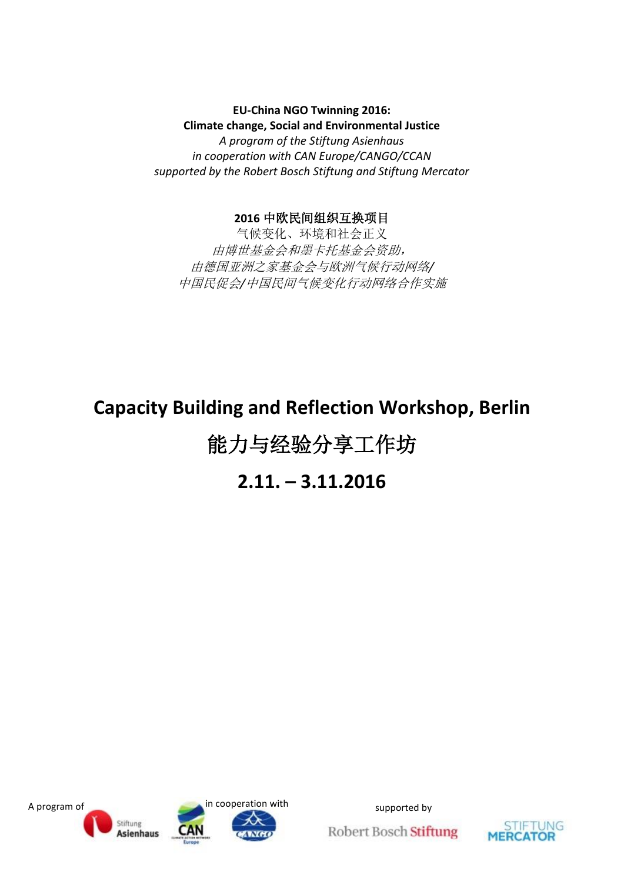**EU-China NGO Twinning 2016: Climate change, Social and Environmental Justice** *A program of the Stiftung Asienhaus in cooperation with CAN Europe/CANGO/CCAN supported by the Robert Bosch Stiftung and Stiftung Mercator*

#### **2016** 中欧民间组织互换项目

气候变化、环境和社会正义 由博世基金会和墨卡托基金会资助, 由德国亚洲之家基金会与欧洲气候行动网络*/* 中国民促会*/*中国民间气候变化行动网络合作实施

# **Capacity Building and Reflection Workshop, Berlin**

# 能力与经验分享工作坊

# **2.11. – 3.11.2016**



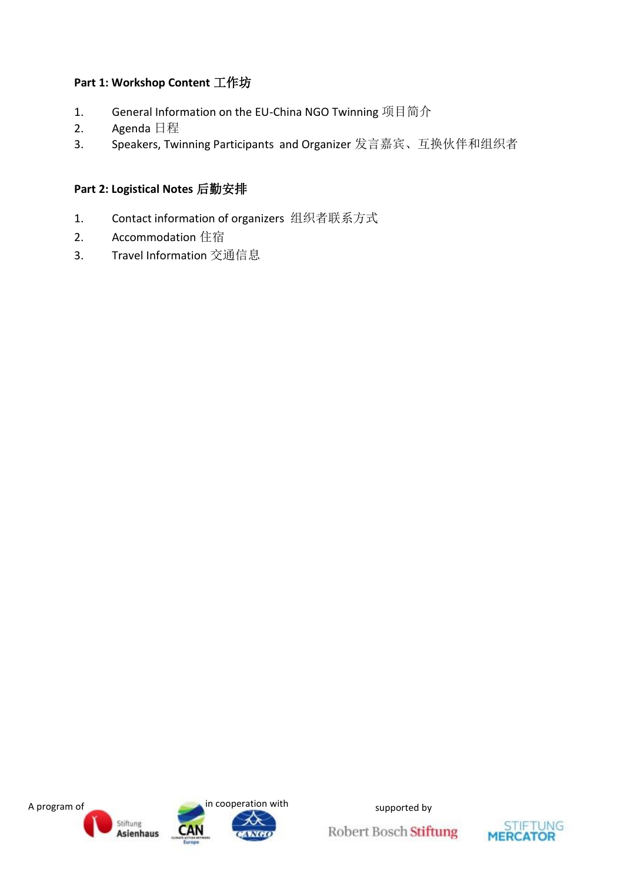# **Part 1: Workshop Content** 工作坊

- 1. General Information on the EU-China NGO Twinning 项目简介
- 2. Agenda 日程
- 3. Speakers, Twinning Participants and Organizer 发言嘉宾、互换伙伴和组织者

## **Part 2: Logistical Notes** 后勤安排

- 1. Contact information of organizers 组织者联系方式
- 2. Accommodation 住宿
- 3. Travel Information 交通信息



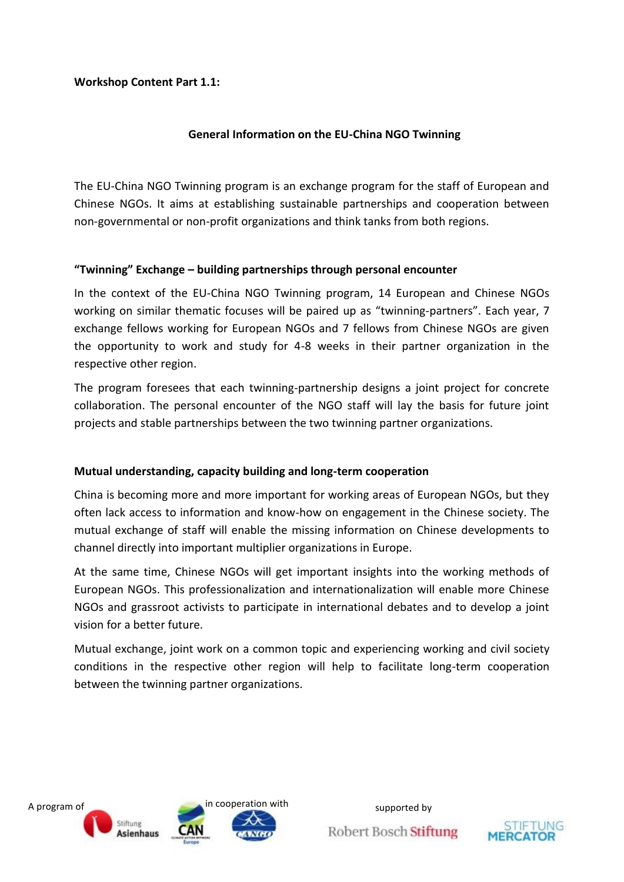#### **Workshop Content Part 1.1:**

#### **General Information on the EU-China NGO Twinning**

The EU-China NGO Twinning program is an exchange program for the staff of European and Chinese NGOs. It aims at establishing sustainable partnerships and cooperation between non-governmental or non-profit organizations and think tanks from both regions.

#### **"Twinning" Exchange – building partnerships through personal encounter**

In the context of the EU-China NGO Twinning program, 14 European and Chinese NGOs working on similar thematic focuses will be paired up as "twinning-partners". Each year, 7 exchange fellows working for European NGOs and 7 fellows from Chinese NGOs are given the opportunity to work and study for 4-8 weeks in their partner organization in the respective other region.

The program foresees that each twinning-partnership designs a joint project for concrete collaboration. The personal encounter of the NGO staff will lay the basis for future joint projects and stable partnerships between the two twinning partner organizations.

#### **Mutual understanding, capacity building and long-term cooperation**

China is becoming more and more important for working areas of European NGOs, but they often lack access to information and know-how on engagement in the Chinese society. The mutual exchange of staff will enable the missing information on Chinese developments to channel directly into important multiplier organizations in Europe.

At the same time, Chinese NGOs will get important insights into the working methods of European NGOs. This professionalization and internationalization will enable more Chinese NGOs and grassroot activists to participate in international debates and to develop a joint vision for a better future.

Mutual exchange, joint work on a common topic and experiencing working and civil society conditions in the respective other region will help to facilitate long-term cooperation between the twinning partner organizations.



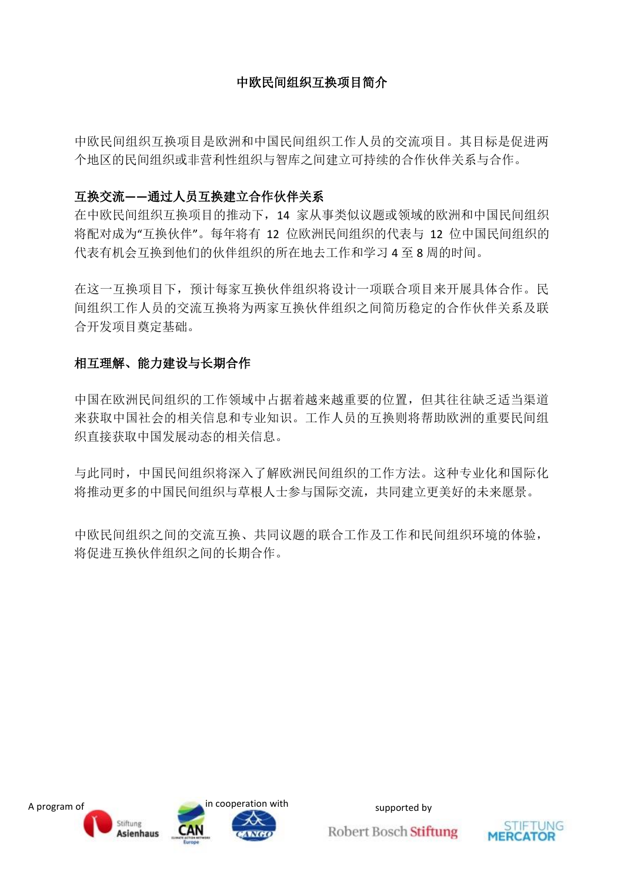# 中欧民间组织互换项目简介

中欧民间组织互换项目是欧洲和中国民间组织工作人员的交流项目。其目标是促进两 个地区的民间组织或非营利性组织与智库之间建立可持续的合作伙伴关系与合作。

#### 互换交流**——**通过人员互换建立合作伙伴关系

在中欧民间组织互换项目的推动下,14 家从事类似议题或领域的欧洲和中国民间组织 将配对成为"互换伙伴"。每年将有 12 位欧洲民间组织的代表与 12 位中国民间组织的 代表有机会互换到他们的伙伴组织的所在地去工作和学习 4 至 8 周的时间。

在这一互换项目下,预计每家互换伙伴组织将设计一项联合项目来开展具体合作。民 间组织工作人员的交流互换将为两家互换伙伴组织之间简历稳定的合作伙伴关系及联 合开发项目奠定基础。

#### 相互理解、能力建设与长期合作

中国在欧洲民间组织的工作领域中占据着越来越重要的位置,但其往往缺乏适当渠道 来获取中国社会的相关信息和专业知识。工作人员的互换则将帮助欧洲的重要民间组 织直接获取中国发展动态的相关信息。

与此同时,中国民间组织将深入了解欧洲民间组织的工作方法。这种专业化和国际化 将推动更多的中国民间组织与草根人士参与国际交流,共同建立更美好的未来愿景。

中欧民间组织之间的交流互换、共同议题的联合工作及工作和民间组织环境的体验, 将促进互换伙伴组织之间的长期合作。



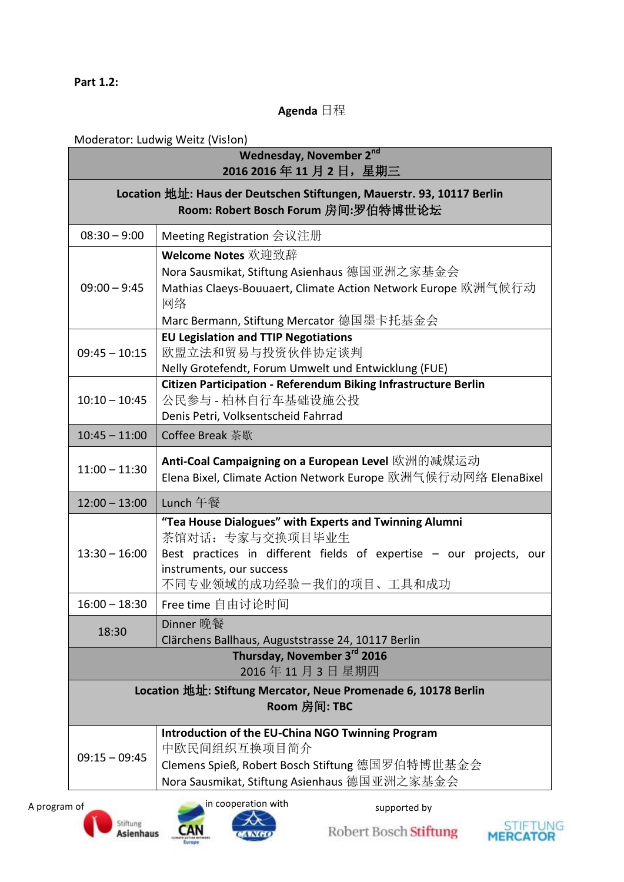#### **Part 1.2:**

#### **Agenda** 日程

# Moderator: Ludwig Weitz (Vis!on)

|                                                                                | <b>Wednesday, November 2nd</b><br>2016 2016年11月2日, 星期三                                                                                                                                                   |  |  |  |
|--------------------------------------------------------------------------------|----------------------------------------------------------------------------------------------------------------------------------------------------------------------------------------------------------|--|--|--|
|                                                                                | Location 地址: Haus der Deutschen Stiftungen, Mauerstr. 93, 10117 Berlin<br>Room: Robert Bosch Forum 房间:罗伯特博世论坛                                                                                            |  |  |  |
| $08:30 - 9:00$                                                                 | Meeting Registration 会议注册                                                                                                                                                                                |  |  |  |
| $09:00 - 9:45$                                                                 | Welcome Notes 欢迎致辞<br>Nora Sausmikat, Stiftung Asienhaus 德国亚洲之家基金会<br>Mathias Claeys-Bouuaert, Climate Action Network Europe 欧洲气候行动<br>网络<br>Marc Bermann, Stiftung Mercator 德国墨卡托基金会                    |  |  |  |
| $09:45 - 10:15$                                                                | <b>EU Legislation and TTIP Negotiations</b><br>欧盟立法和贸易与投资伙伴协定谈判<br>Nelly Grotefendt, Forum Umwelt und Entwicklung (FUE)                                                                                  |  |  |  |
| $10:10 - 10:45$                                                                | Citizen Participation - Referendum Biking Infrastructure Berlin<br>公民参与 - 柏林自行车基础设施公投<br>Denis Petri, Volksentscheid Fahrrad                                                                             |  |  |  |
| $10:45 - 11:00$                                                                | Coffee Break 茶歇                                                                                                                                                                                          |  |  |  |
| $11:00 - 11:30$                                                                | Anti-Coal Campaigning on a European Level 欧洲的减煤运动<br>Elena Bixel, Climate Action Network Europe 欧洲气候行动网络 ElenaBixel                                                                                      |  |  |  |
| $12:00 - 13:00$                                                                | Lunch 午餐                                                                                                                                                                                                 |  |  |  |
| $13:30 - 16:00$                                                                | "Tea House Dialogues" with Experts and Twinning Alumni<br>茶馆对话: 专家与交换项目毕业生<br>Best practices in different fields of expertise - our projects, our<br>instruments, our success<br>不同专业领域的成功经验一我们的项目、工具和成功 |  |  |  |
| $16:00 - 18:30$                                                                | Free time 自由讨论时间                                                                                                                                                                                         |  |  |  |
| 18:30                                                                          | Dinner 晚餐<br>Clärchens Ballhaus, Auguststrasse 24, 10117 Berlin                                                                                                                                          |  |  |  |
|                                                                                | Thursday, November 3rd 2016<br>2016年11月3日星期四                                                                                                                                                             |  |  |  |
| Location 地址: Stiftung Mercator, Neue Promenade 6, 10178 Berlin<br>Room 房间: TBC |                                                                                                                                                                                                          |  |  |  |
| $09:15 - 09:45$                                                                | Introduction of the EU-China NGO Twinning Program<br>中欧民间组织互换项目简介<br>Clemens Spieß, Robert Bosch Stiftung 德国罗伯特博世基金会<br>Nora Sausmikat, Stiftung Asienhaus 德国亚洲之家基金会                                     |  |  |  |
| A program of                                                                   | in cooperation with<br>supported by                                                                                                                                                                      |  |  |  |

![](_page_4_Picture_5.jpeg)

![](_page_4_Picture_6.jpeg)

![](_page_4_Picture_9.jpeg)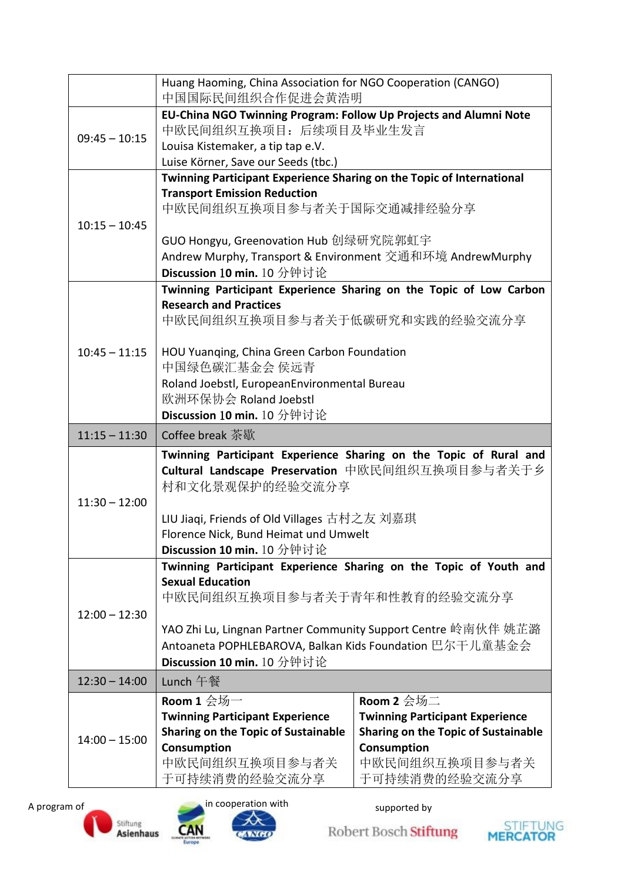|                 | Huang Haoming, China Association for NGO Cooperation (CANGO)<br>中国国际民间组织合作促进会黄浩明                                                                                                                                                                                                       |                                                                                                                                                                    |  |
|-----------------|----------------------------------------------------------------------------------------------------------------------------------------------------------------------------------------------------------------------------------------------------------------------------------------|--------------------------------------------------------------------------------------------------------------------------------------------------------------------|--|
| $09:45 - 10:15$ | EU-China NGO Twinning Program: Follow Up Projects and Alumni Note<br>中欧民间组织互换项目: 后续项目及毕业生发言<br>Louisa Kistemaker, a tip tap e.V.<br>Luise Körner, Save our Seeds (tbc.)                                                                                                                |                                                                                                                                                                    |  |
| $10:15 - 10:45$ | Twinning Participant Experience Sharing on the Topic of International<br><b>Transport Emission Reduction</b><br>中欧民间组织互换项目参与者关于国际交通减排经验分享                                                                                                                                              |                                                                                                                                                                    |  |
|                 | GUO Hongyu, Greenovation Hub 创绿研究院郭虹宇<br>Andrew Murphy, Transport & Environment 交通和环境 AndrewMurphy<br>Discussion 10 min. 10 分钟讨论                                                                                                                                                       |                                                                                                                                                                    |  |
|                 | <b>Research and Practices</b><br>中欧民间组织互换项目参与者关于低碳研究和实践的经验交流分享                                                                                                                                                                                                                         | Twinning Participant Experience Sharing on the Topic of Low Carbon                                                                                                 |  |
| $10:45 - 11:15$ | HOU Yuanqing, China Green Carbon Foundation<br>中国绿色碳汇基金会 侯远青<br>Roland Joebstl, EuropeanEnvironmental Bureau<br>欧洲环保协会 Roland Joebstl<br>Discussion 10 min. 10 分钟讨论                                                                                                                    |                                                                                                                                                                    |  |
| $11:15 - 11:30$ | Coffee break 茶歇                                                                                                                                                                                                                                                                        |                                                                                                                                                                    |  |
| $11:30 - 12:00$ | Twinning Participant Experience Sharing on the Topic of Rural and<br>Cultural Landscape Preservation 中欧民间组织互换项目参与者关于乡<br>村和文化景观保护的经验交流分享<br>LIU Jiaqi, Friends of Old Villages 古村之友 刘嘉琪<br>Florence Nick, Bund Heimat und Umwelt<br>Discussion 10 min. 10 分钟讨论                         |                                                                                                                                                                    |  |
| $12:00 - 12:30$ | Twinning Participant Experience Sharing on the Topic of Youth and<br><b>Sexual Education</b><br>中欧民间组织互换项目参与者关于青年和性教育的经验交流分享<br>YAO Zhi Lu, Lingnan Partner Community Support Centre 岭南伙伴 姚芷潞<br>Antoaneta POPHLEBAROVA, Balkan Kids Foundation 巴尔干儿童基金会<br>Discussion 10 min. 10 分钟讨论 |                                                                                                                                                                    |  |
| $12:30 - 14:00$ | Lunch 午餐                                                                                                                                                                                                                                                                               |                                                                                                                                                                    |  |
| $14:00 - 15:00$ | Room 1 $\triangleq$ 场一<br><b>Twinning Participant Experience</b><br>Sharing on the Topic of Sustainable<br>Consumption<br>中欧民间组织互换项目参与者关<br>于可持续消费的经验交流分享                                                                                                                              | Room 2 $\triangleq \frac{1}{2}$<br><b>Twinning Participant Experience</b><br>Sharing on the Topic of Sustainable<br>Consumption<br>中欧民间组织互换项目参与者关<br>于可持续消费的经验交流分享 |  |

![](_page_5_Picture_2.jpeg)

![](_page_5_Picture_3.jpeg)

![](_page_5_Picture_6.jpeg)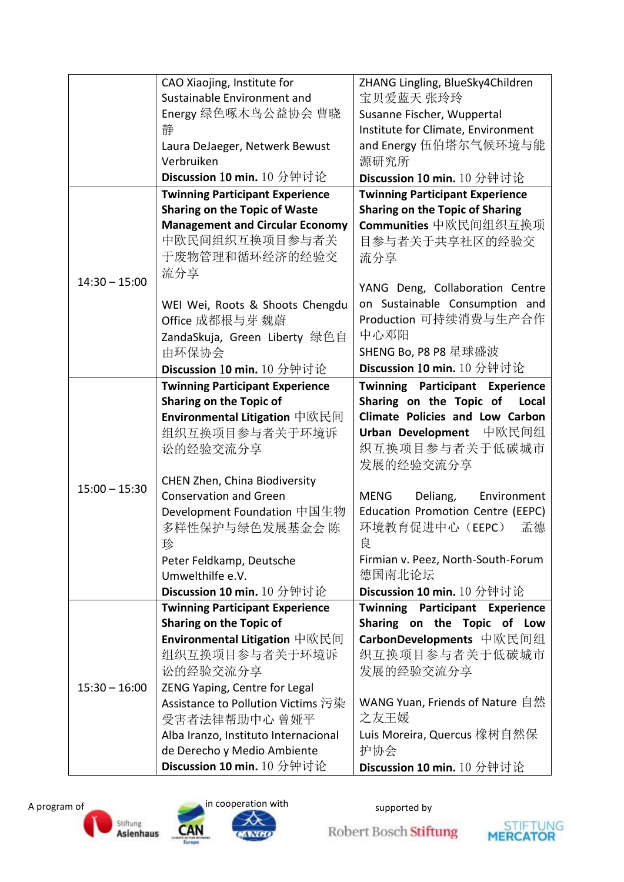|                 | CAO Xiaojing, Institute for            | ZHANG Lingling, BlueSky4Children       |
|-----------------|----------------------------------------|----------------------------------------|
|                 | Sustainable Environment and            | 宝贝爱蓝天 张玲玲                              |
|                 | Energy 绿色啄木鸟公益协会 曹晓                    | Susanne Fischer, Wuppertal             |
|                 | 静                                      | Institute for Climate, Environment     |
|                 | Laura DeJaeger, Netwerk Bewust         | and Energy 伍伯塔尔气候环境与能                  |
|                 | Verbruiken                             | 源研究所                                   |
|                 | Discussion 10 min. 10 分钟讨论             | Discussion 10 min. 10 分钟讨论             |
|                 | <b>Twinning Participant Experience</b> | <b>Twinning Participant Experience</b> |
|                 | <b>Sharing on the Topic of Waste</b>   | <b>Sharing on the Topic of Sharing</b> |
|                 | <b>Management and Circular Economy</b> | Communities 中欧民间组织互换项                  |
|                 | 中欧民间组织互换项目参与者关                         | 目参与者关于共享社区的经验交                         |
|                 | 于废物管理和循环经济的经验交                         | 流分享                                    |
|                 | 流分享                                    |                                        |
| $14:30 - 15:00$ |                                        | YANG Deng, Collaboration Centre        |
|                 | WEI Wei, Roots & Shoots Chengdu        | on Sustainable Consumption and         |
|                 | Office 成都根与芽 魏蔚                        | Production 可持续消费与生产合作                  |
|                 | ZandaSkuja, Green Liberty 绿色自          | 中心邓阳                                   |
|                 | 由环保协会                                  | SHENG Bo, P8 P8 星球盛波                   |
|                 | Discussion 10 min. 10 分钟讨论             | Discussion 10 min. 10 分钟讨论             |
|                 | <b>Twinning Participant Experience</b> | <b>Twinning Participant Experience</b> |
|                 | <b>Sharing on the Topic of</b>         | Sharing on the Topic of<br>Local       |
|                 | <b>Environmental Litigation</b> 中欧民间   | <b>Climate Policies and Low Carbon</b> |
|                 | 组织互换项目参与者关于环境诉                         | 中欧民间组<br><b>Urban Development</b>      |
|                 | 讼的经验交流分享                               | 织互换项目参与者关于低碳城市                         |
|                 |                                        | 发展的经验交流分享                              |
|                 | CHEN Zhen, China Biodiversity          |                                        |
| $15:00 - 15:30$ | <b>Conservation and Green</b>          | MENG<br>Deliang,<br>Environment        |
|                 | Development Foundation 中国生物            | Education Promotion Centre (EEPC)      |
|                 | 多样性保护与绿色发展基金会 陈                        | 环境教育促进中心(EEPC)<br>孟德                   |
|                 | 珍                                      | 良                                      |
|                 | Peter Feldkamp, Deutsche               | Firmian v. Peez, North-South-Forum     |
|                 | Umwelthilfe e.V.                       | 德国南北论坛                                 |
|                 | Discussion 10 min. 10 分钟讨论             | Discussion 10 min. 10 分钟讨论             |
|                 | <b>Twinning Participant Experience</b> | <b>Twinning Participant Experience</b> |
|                 | <b>Sharing on the Topic of</b>         | Sharing on the Topic of Low            |
|                 | <b>Environmental Litigation</b> 中欧民间   | CarbonDevelopments 中欧民间组               |
|                 | 组织互换项目参与者关于环境诉                         | 织互换项目参与者关于低碳城市                         |
|                 | 讼的经验交流分享                               | 发展的经验交流分享                              |
| $15:30 - 16:00$ | ZENG Yaping, Centre for Legal          |                                        |
|                 | Assistance to Pollution Victims 污染     | WANG Yuan, Friends of Nature 自然        |
|                 | 受害者法律帮助中心 曾娅平                          | 之友王媛                                   |
|                 | Alba Iranzo, Instituto Internacional   | Luis Moreira, Quercus 橡树自然保            |
|                 | de Derecho y Medio Ambiente            | 护协会                                    |
|                 | Discussion 10 min. 10 分钟讨论             | Discussion 10 min. 10 分钟讨论             |

![](_page_6_Picture_1.jpeg)

![](_page_6_Picture_2.jpeg)

![](_page_6_Picture_3.jpeg)

⋌⋋ AWGO

![](_page_6_Picture_7.jpeg)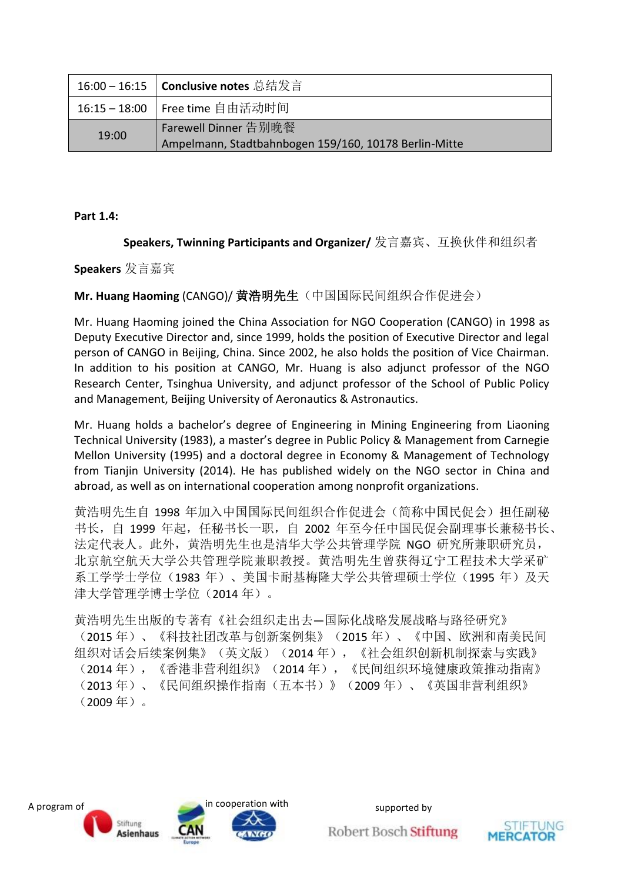|       | 16:00 – 16:15   Conclusive notes 总结发言                 |
|-------|-------------------------------------------------------|
|       | 16:15-18:00   Free time 自由活动时间                        |
| 19:00 | Farewell Dinner 告别晚餐                                  |
|       | Ampelmann, Stadtbahnbogen 159/160, 10178 Berlin-Mitte |

**Part 1.4:**

**Speakers, Twinning Participants and Organizer/** 发言嘉宾、互换伙伴和组织者

#### **Speakers** 发言嘉宾

**Mr. Huang Haoming** (CANGO)/ 黄浩明先生(中国国际民间组织合作促进会)

Mr. Huang Haoming joined the China Association for NGO Cooperation (CANGO) in 1998 as Deputy Executive Director and, since 1999, holds the position of Executive Director and legal person of CANGO in Beijing, China. Since 2002, he also holds the position of Vice Chairman. In addition to his position at CANGO, Mr. Huang is also adjunct professor of the NGO Research Center, Tsinghua University, and adjunct professor of the School of Public Policy and Management, Beijing University of Aeronautics & Astronautics.

Mr. Huang holds a bachelor's degree of Engineering in Mining Engineering from Liaoning Technical University (1983), a master's degree in Public Policy & Management from Carnegie Mellon University (1995) and a doctoral degree in Economy & Management of Technology from Tianjin University (2014). He has published widely on the NGO sector in China and abroad, as well as on international cooperation among nonprofit organizations.

黄浩明先生自 1998 年加入中国国际民间组织合作促进会(简称中国民促会)担任副秘 书长,自 1999 年起, 任秘书长一职, 自 2002 年至今任中国民促会副理事长兼秘书长、 法定代表人。此外,黄浩明先生也是清华大学公共管理学院 NGO 研究所兼职研究员, 北京航空航天大学公共管理学院兼职教授。黄浩明先生曾获得辽宁工程技术大学采矿 系工学学士学位(1983年)、美国卡耐基梅隆大学公共管理硕士学位(1995年)及天 津大学管理学博士学位(2014 年)。

黄浩明先生出版的专著有《社会组织走出去—国际化战略发展战略与路径研究》 (2015 年)、《科技社团改革与创新案例集》(2015 年)、《中国、欧洲和南美民间 组织对话会后续案例集》(英文版)(2014年),《社会组织创新机制探索与实践》 (2014 年),《香港非营利组织》(2014 年),《民间组织环境健康政策推动指南》 (2013 年)、《民间组织操作指南(五本书)》(2009 年)、《英国非营利组织》 (2009 年)。

![](_page_7_Picture_9.jpeg)

![](_page_7_Picture_12.jpeg)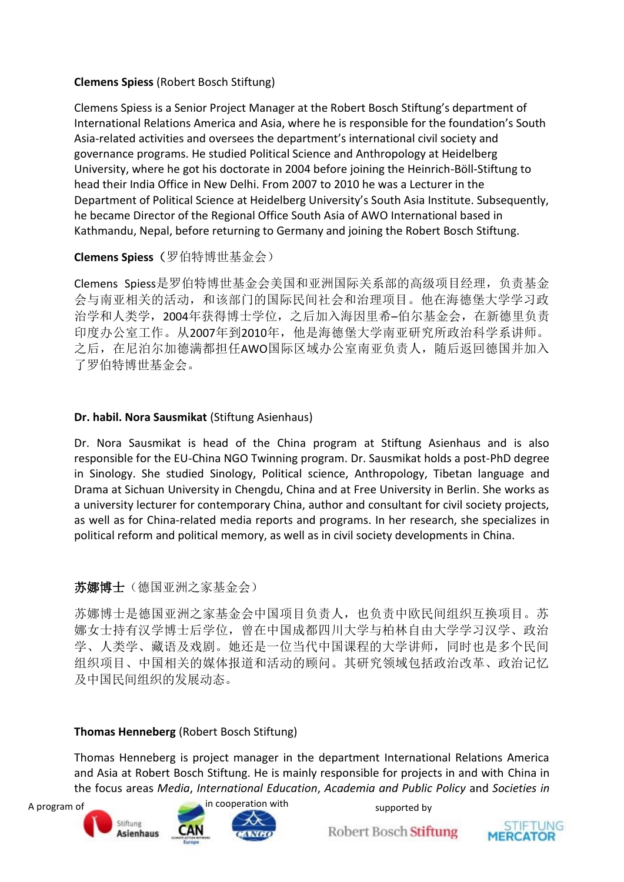#### **Clemens Spiess** (Robert Bosch Stiftung)

Clemens Spiess is a Senior Project Manager at the Robert Bosch Stiftung's department of International Relations America and Asia, where he is responsible for the foundation's South Asia-related activities and oversees the department's international civil society and governance programs. He studied Political Science and Anthropology at Heidelberg University, where he got his doctorate in 2004 before joining the Heinrich-Böll-Stiftung to head their India Office in New Delhi. From 2007 to 2010 he was a Lecturer in the Department of Political Science at Heidelberg University's South Asia Institute. Subsequently, he became Director of the Regional Office South Asia of AWO International based in Kathmandu, Nepal, before returning to Germany and joining the Robert Bosch Stiftung.

#### **Clemens Spiess**(罗伯特博世基金会)

Clemens Spiess是罗伯特博世基金会美国和亚洲国际关系部的高级项目经理,负责基金 会与南亚相关的活动,和该部门的国际民间社会和治理项目。他在海德堡大学学习政 治学和人类学,2004年获得博士学位,之后加入海因里希–伯尔基金会,在新德里负责 印度办公室工作。从2007年到2010年,他是海德堡大学南亚研究所政治科学系讲师。 之后, 在尼泊尔加德满都担任AWO国际区域办公室南亚负责人, 随后返回德国并加入 了罗伯特博世基金会。

#### **Dr. habil. Nora Sausmikat** (Stiftung Asienhaus)

Dr. Nora Sausmikat is head of the China program at Stiftung Asienhaus and is also responsible for the EU-China NGO Twinning program. Dr. Sausmikat holds a post-PhD degree in Sinology. She studied Sinology, Political science, Anthropology, Tibetan language and Drama at Sichuan University in Chengdu, China and at Free University in Berlin. She works as a university lecturer for contemporary China, author and consultant for civil society projects, as well as for China-related media reports and programs. In her research, she specializes in political reform and political memory, as well as in civil society developments in China.

#### 苏娜博士(德国亚洲之家基金会)

苏娜博士是德国亚洲之家基金会中国项目负责人,也负责中欧民间组织互换项目。苏 娜女士持有汉学博士后学位,曾在中国成都四川大学与柏林自由大学学习汉学、政治 学、人类学、藏语及戏剧。她还是一位当代中国课程的大学讲师,同时也是多个民间 组织项目、中国相关的媒体报道和活动的顾问。其研究领域包括政治改革、政治记忆 及中国民间组织的发展动态。

#### **Thomas Henneberg** (Robert Bosch Stiftung)

Thomas Henneberg is project manager in the department International Relations America and Asia at Robert Bosch Stiftung. He is mainly responsible for projects in and with China in the focus areas *Media*, *International Education*, *Academia and Public Policy* and *Societies in* 

![](_page_8_Picture_10.jpeg)

![](_page_8_Picture_13.jpeg)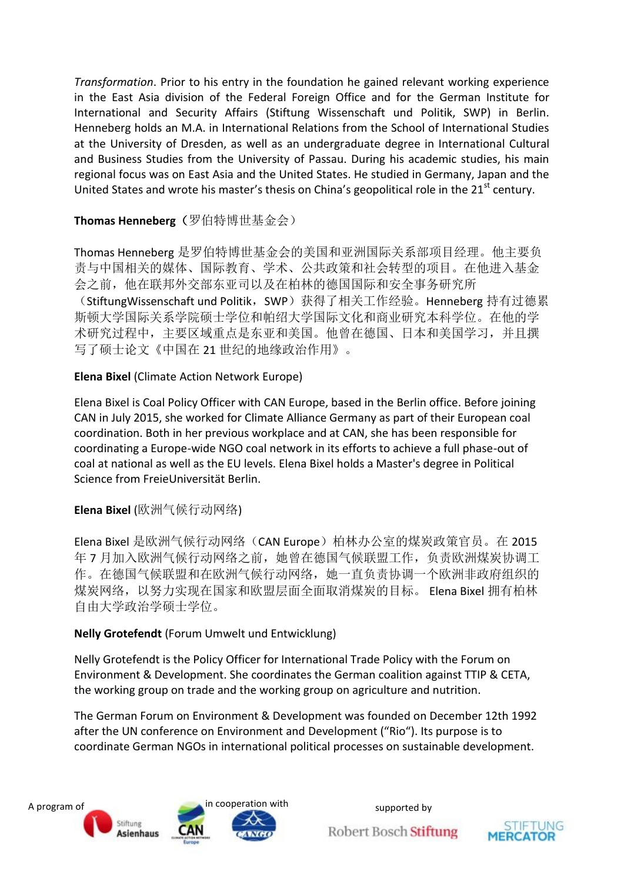*Transformation*. Prior to his entry in the foundation he gained relevant working experience in the East Asia division of the Federal Foreign Office and for the German Institute for International and Security Affairs (Stiftung Wissenschaft und Politik, SWP) in Berlin. Henneberg holds an M.A. in International Relations from the School of International Studies at the University of Dresden, as well as an undergraduate degree in International Cultural and Business Studies from the University of Passau. During his academic studies, his main regional focus was on East Asia and the United States. He studied in Germany, Japan and the United States and wrote his master's thesis on China's geopolitical role in the  $21<sup>st</sup>$  century.

### **Thomas Henneberg**(罗伯特博世基金会)

Thomas Henneberg 是罗伯特博世基金会的美国和亚洲国际关系部项目经理。他主要负 责与中国相关的媒体、国际教育、学术、公共政策和社会转型的项目。在他进入基金 会之前,他在联邦外交部东亚司以及在柏林的德国国际和安全事务研究所

(StiftungWissenschaft und Politik, SWP)获得了相关工作经验。Henneberg 持有过德累 斯顿大学国际关系学院硕士学位和帕绍大学国际文化和商业研究本科学位。在他的学 术研究过程中,主要区域重点是东亚和美国。他曾在德国、日本和美国学习,并且撰 写了硕士论文《中国在 21 世纪的地缘政治作用》。

**Elena Bixel** (Climate Action Network Europe)

Elena Bixel is Coal Policy Officer with CAN Europe, based in the Berlin office. Before joining CAN in July 2015, she worked for Climate Alliance Germany as part of their European coal coordination. Both in her previous workplace and at CAN, she has been responsible for coordinating a Europe-wide NGO coal network in its efforts to achieve a full phase-out of coal at national as well as the EU levels. Elena Bixel holds a Master's degree in Political Science from FreieUniversität Berlin.

**Elena Bixel** (欧洲气候行动网络)

Elena Bixel 是欧洲气候行动网络(CAN Europe)柏林办公室的煤炭政策官员。在 2015 年 7 月加入欧洲气候行动网络之前,她曾在德国气候联盟工作,负责欧洲煤炭协调工 作。在德国气候联盟和在欧洲气候行动网络,她一直负责协调一个欧洲非政府组织的 煤炭网络,以努力实现在国家和欧盟层面全面取消煤炭的目标。 Elena Bixel 拥有柏林 自由大学政治学硕士学位。

#### **Nelly Grotefendt** (Forum Umwelt und Entwicklung)

Nelly Grotefendt is the Policy Officer for International Trade Policy with the Forum on Environment & Development. She coordinates the German coalition against TTIP & CETA, the working group on trade and the working group on agriculture and nutrition.

The German Forum on Environment & Development was founded on December 12th 1992 after the UN conference on Environment and Development ("Rio"). Its purpose is to coordinate German NGOs in international political processes on sustainable development.

![](_page_9_Picture_11.jpeg)

![](_page_9_Picture_14.jpeg)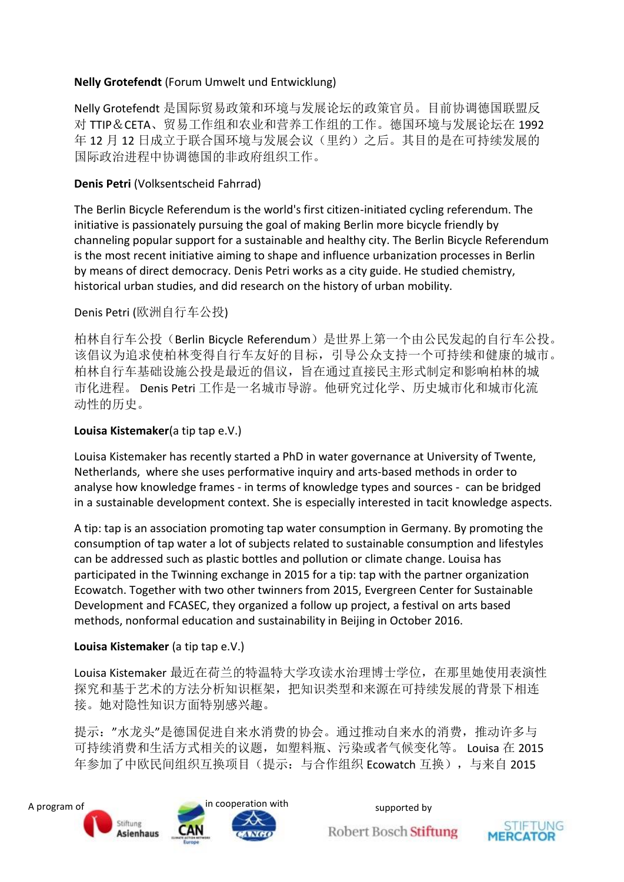#### **Nelly Grotefendt** (Forum Umwelt und Entwicklung)

Nelly Grotefendt 是国际贸易政策和环境与发展论坛的政策官员。目前协调德国联盟反 对 TTIP&CETA、贸易工作组和农业和营养工作组的工作。德国环境与发展论坛在 1992 年 12 月 12 日成立于联合国环境与发展会议(里约)之后。其目的是在可持续发展的 国际政治进程中协调德国的非政府组织工作。

#### **Denis Petri** (Volksentscheid Fahrrad)

The Berlin Bicycle Referendum is the world's first citizen-initiated cycling referendum. The initiative is passionately pursuing the goal of making Berlin more bicycle friendly by channeling popular support for a sustainable and healthy city. The Berlin Bicycle Referendum is the most recent initiative aiming to shape and influence urbanization processes in Berlin by means of direct democracy. Denis Petri works as a city guide. He studied chemistry, historical urban studies, and did research on the history of urban mobility.

Denis Petri (欧洲自行车公投)

柏林自行车公投(Berlin Bicycle Referendum)是世界上第一个由公民发起的自行车公投。 该倡议为追求使柏林变得自行车友好的目标,引导公众支持一个可持续和健康的城市。 柏林自行车基础设施公投是最近的倡议,旨在通过直接民主形式制定和影响柏林的城 市化进程。 Denis Petri 工作是一名城市导游。他研究过化学、历史城市化和城市化流 动性的历史。

## **Louisa Kistemaker**(a tip tap e.V.)

Louisa Kistemaker has recently started a PhD in water governance at University of Twente, Netherlands, where she uses performative inquiry and arts-based methods in order to analyse how knowledge frames - in terms of knowledge types and sources - can be bridged in a sustainable development context. She is especially interested in tacit knowledge aspects.

A tip: tap is an association promoting tap water consumption in Germany. By promoting the consumption of tap water a lot of subjects related to sustainable consumption and lifestyles can be addressed such as plastic bottles and pollution or climate change. Louisa has participated in the Twinning exchange in 2015 for a tip: tap with the partner organization Ecowatch. Together with two other twinners from 2015, Evergreen Center for Sustainable Development and FCASEC, they organized a follow up project, a festival on arts based methods, nonformal education and sustainability in Beijing in October 2016.

#### **Louisa Kistemaker** (a tip tap e.V.)

Louisa Kistemaker 最近在荷兰的特温特大学攻读水治理博士学位, 在那里她使用表演性 探究和基于艺术的方法分析知识框架,把知识类型和来源在可持续发展的背景下相连 接。她对隐性知识方面特别感兴趣。

提示:"水龙头"是德国促进自来水消费的协会。通过推动自来水的消费,推动许多与 可持续消费和生活方式相关的议题,如塑料瓶、污染或者气候变化等。 Louisa 在 2015 年参加了中欧民间组织互换项目(提示: 与合作组织 Ecowatch 互换), 与来自 2015

![](_page_10_Picture_12.jpeg)

![](_page_10_Picture_15.jpeg)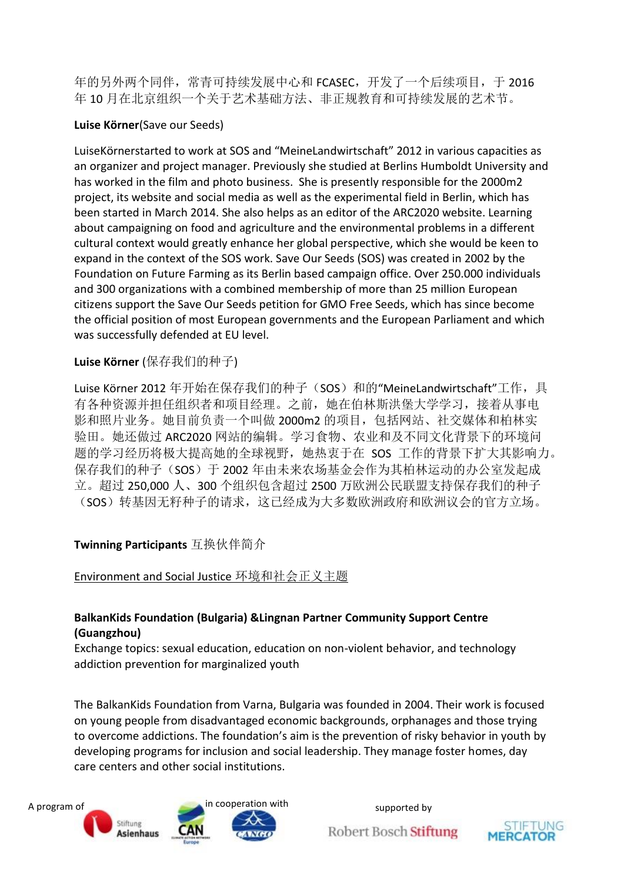年的另外两个同伴,常青可持续发展中心和 FCASEC,开发了一个后续项目, 于 2016 年 10 月在北京组织一个关于艺术基础方法、非正规教育和可持续发展的艺术节。

#### **Luise Körner**(Save our Seeds)

LuiseKörnerstarted to work at SOS and "MeineLandwirtschaft" 2012 in various capacities as an organizer and project manager. Previously she studied at Berlins Humboldt University and has worked in the film and photo business. She is presently responsible for the 2000m2 project, its website and social media as well as the experimental field in Berlin, which has been started in March 2014. She also helps as an editor of the ARC2020 website. Learning about campaigning on food and agriculture and the environmental problems in a different cultural context would greatly enhance her global perspective, which she would be keen to expand in the context of the SOS work. Save Our Seeds (SOS) was created in 2002 by the Foundation on Future Farming as its Berlin based campaign office. Over 250.000 individuals and 300 organizations with a combined membership of more than 25 million European citizens support the Save Our Seeds petition for GMO Free Seeds, which has since become the official position of most European governments and the European Parliament and which was successfully defended at EU level.

#### **Luise Körner** (保存我们的种子)

Luise Körner 2012 年开始在保存我们的种子(SOS)和的"MeineLandwirtschaft"工作, 具 有各种资源并担任组织者和项目经理。之前,她在伯林斯洪堡大学学习,接着从事电 影和照片业务。她目前负责一个叫做 2000m2 的项目,包括网站、社交媒体和柏林实 验田。她还做过 ARC2020 网站的编辑。学习食物、农业和及不同文化背景下的环境问 题的学习经历将极大提高她的全球视野,她热衷于在 SOS 工作的背景下扩大其影响力。 保存我们的种子(SOS)于 2002 年由未来农场基金会作为其柏林运动的办公室发起成 立。超过 250,000 人、300 个组织包含超过 2500 万欧洲公民联盟支持保存我们的种子 (SOS)转基因无籽种子的请求,这已经成为大多数欧洲政府和欧洲议会的官方立场。

#### **Twinning Participants** 互换伙伴简介

Environment and Social Justice 环境和社会正义主题

#### **BalkanKids Foundation (Bulgaria) &Lingnan Partner Community Support Centre (Guangzhou)**

Exchange topics: sexual education, education on non-violent behavior, and technology addiction prevention for marginalized youth

The BalkanKids Foundation from Varna, Bulgaria was founded in 2004. Their work is focused on young people from disadvantaged economic backgrounds, orphanages and those trying to overcome addictions. The foundation's aim is the prevention of risky behavior in youth by developing programs for inclusion and social leadership. They manage foster homes, day care centers and other social institutions.

![](_page_11_Picture_10.jpeg)

![](_page_11_Picture_13.jpeg)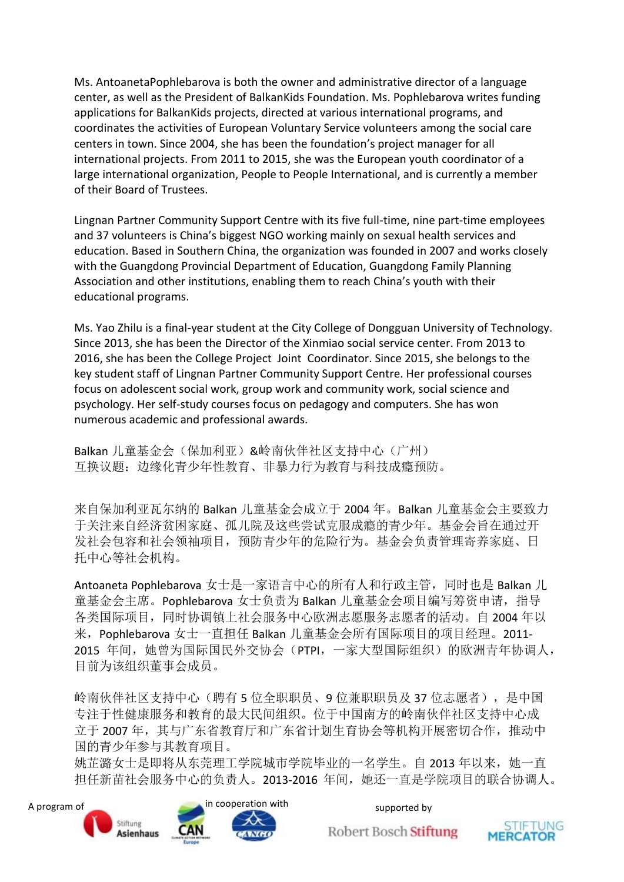Ms. AntoanetaPophlebarova is both the owner and administrative director of a language center, as well as the President of BalkanKids Foundation. Ms. Pophlebarova writes funding applications for BalkanKids projects, directed at various international programs, and coordinates the activities of European Voluntary Service volunteers among the social care centers in town. Since 2004, she has been the foundation's project manager for all international projects. From 2011 to 2015, she was the European youth coordinator of a large international organization, People to People International, and is currently a member of their Board of Trustees.

Lingnan Partner Community Support Centre with its five full-time, nine part-time employees and 37 volunteers is China's biggest NGO working mainly on sexual health services and education. Based in Southern China, the organization was founded in 2007 and works closely with the Guangdong Provincial Department of Education, Guangdong Family Planning Association and other institutions, enabling them to reach China's youth with their educational programs.

Ms. Yao Zhilu is a final-year student at the City College of Dongguan University of Technology. Since 2013, she has been the Director of the Xinmiao social service center. From 2013 to 2016, she has been the College Project Joint Coordinator. Since 2015, she belongs to the key student staff of Lingnan Partner Community Support Centre. Her professional courses focus on adolescent social work, group work and community work, social science and psychology. Her self-study courses focus on pedagogy and computers. She has won numerous academic and professional awards.

Balkan 儿童基金会(保加利亚)&岭南伙伴社区支持中心(广州) 互换议题:边缘化青少年性教育、非暴力行为教育与科技成瘾预防。

来自保加利亚瓦尔纳的 Balkan 儿童基金会成立于 2004 年。Balkan 儿童基金会主要致力 于关注来自经济贫困家庭、孤儿院及这些尝试克服成瘾的青少年。基金会旨在通过开 发社会包容和社会领袖项目,预防青少年的危险行为。基金会负责管理寄养家庭、日 托中心等社会机构。

Antoaneta Pophlebarova 女士是一家语言中心的所有人和行政主管,同时也是 Balkan 儿 童基金会主席。Pophlebarova 女士负责为 Balkan 儿童基金会项目编写筹资申请, 指导 各类国际项目,同时协调镇上社会服务中心欧洲志愿服务志愿者的活动。自 2004 年以 来,Pophlebarova 女士一直担任 Balkan 儿童基金会所有国际项目的项目经理。2011- 2015 年间,她曾为国际国民外交协会(PTPI,一家大型国际组织)的欧洲青年协调人, 目前为该组织董事会成员。

岭南伙伴社区支持中心(聘有 5 位全职职员、9 位兼职职员及 37 位志愿者), 是中国 专注于性健康服务和教育的最大民间组织。位于中国南方的岭南伙伴社区支持中心成 立于 2007 年, 其与广东省教育厅和广东省计划生育协会等机构开展密切合作, 推动中 国的青少年参与其教育项目。

姚芷潞女士是即将从东莞理工学院城市学院毕业的一名学生。自 2013 年以来, 她一直 担任新苗社会服务中心的负责人。2013-2016 年间,她还一直是学院项目的联合协调人。

![](_page_12_Picture_8.jpeg)

![](_page_12_Picture_11.jpeg)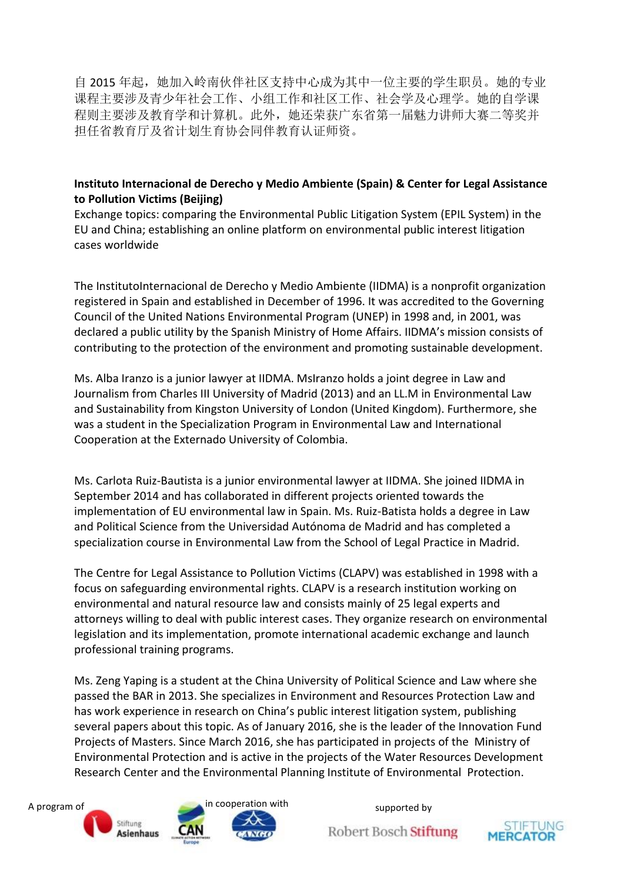自 2015 年起,她加入岭南伙伴社区支持中心成为其中一位主要的学生职员。她的专业 课程主要涉及青少年社会工作、小组工作和社区工作、社会学及心理学。她的自学课 程则主要涉及教育学和计算机。此外,她还荣获广东省第一届魅力讲师大赛二等奖并 担任省教育厅及省计划生育协会同伴教育认证师资。

#### **Instituto Internacional de Derecho y Medio Ambiente (Spain) & Center for Legal Assistance to Pollution Victims (Beijing)**

Exchange topics: comparing the Environmental Public Litigation System (EPIL System) in the EU and China; establishing an online platform on environmental public interest litigation cases worldwide

The InstitutoInternacional de Derecho y Medio Ambiente (IIDMA) is a nonprofit organization registered in Spain and established in December of 1996. It was accredited to the Governing Council of the United Nations Environmental Program (UNEP) in 1998 and, in 2001, was declared a public utility by the Spanish Ministry of Home Affairs. IIDMA's mission consists of contributing to the protection of the environment and promoting sustainable development.

Ms. Alba Iranzo is a junior lawyer at IIDMA. MsIranzo holds a joint degree in Law and Journalism from Charles III University of Madrid (2013) and an LL.M in Environmental Law and Sustainability from Kingston University of London (United Kingdom). Furthermore, she was a student in the Specialization Program in Environmental Law and International Cooperation at the Externado University of Colombia.

Ms. Carlota Ruiz-Bautista is a junior environmental lawyer at IIDMA. She joined IIDMA in September 2014 and has collaborated in different projects oriented towards the implementation of EU environmental law in Spain. Ms. Ruiz-Batista holds a degree in Law and Political Science from the Universidad Autónoma de Madrid and has completed a specialization course in Environmental Law from the School of Legal Practice in Madrid.

The Centre for Legal Assistance to Pollution Victims (CLAPV) was established in 1998 with a focus on safeguarding environmental rights. CLAPV is a research institution working on environmental and natural resource law and consists mainly of 25 legal experts and attorneys willing to deal with public interest cases. They organize research on environmental legislation and its implementation, promote international academic exchange and launch professional training programs.

Ms. Zeng Yaping is a student at the China University of Political Science and Law where she passed the BAR in 2013. She specializes in Environment and Resources Protection Law and has work experience in research on China's public interest litigation system, publishing several papers about this topic. As of January 2016, she is the leader of the Innovation Fund Projects of Masters. Since March 2016, she has participated in projects of the Ministry of Environmental Protection and is active in the projects of the Water Resources Development Research Center and the Environmental Planning Institute of Environmental Protection.

![](_page_13_Picture_8.jpeg)

![](_page_13_Picture_9.jpeg)

![](_page_13_Picture_10.jpeg)

![](_page_13_Picture_13.jpeg)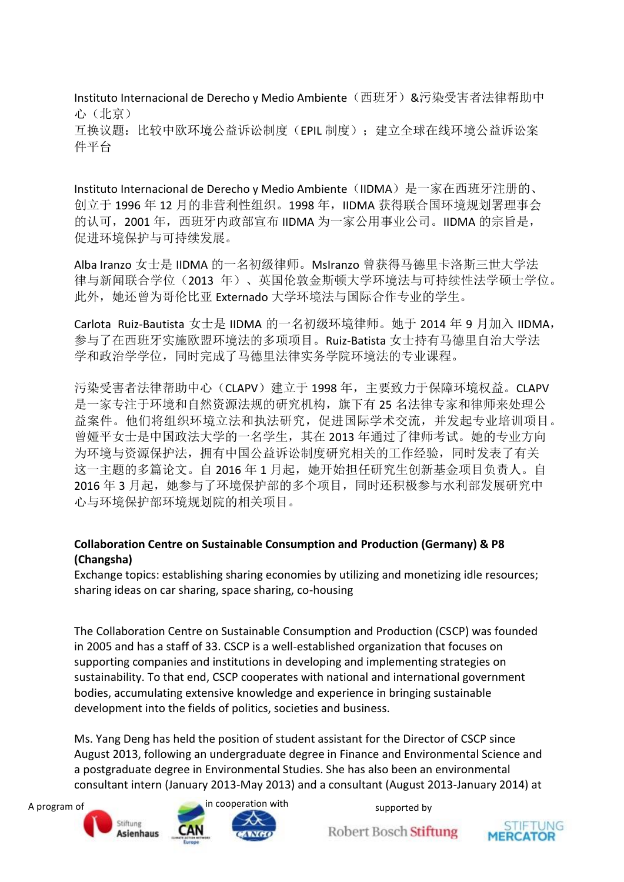Instituto Internacional de Derecho y Medio Ambiente(西班牙)&污染受害者法律帮助中 心(北京) 互换议题:比较中欧环境公益诉讼制度(EPIL 制度);建立全球在线环境公益诉讼案 件平台

Instituto Internacional de Derecho y Medio Ambiente (IIDMA) 是一家在西班牙注册的、 创立于 1996年12月的非营利性组织。1998年, IIDMA 获得联合国环境规划署理事会 的认可, 2001 年, 西班牙内政部宣布 IIDMA 为一家公用事业公司。IIDMA 的宗旨是, 促进环境保护与可持续发展。

Alba Iranzo 女士是 IIDMA 的一名初级律师。MsIranzo 曾获得马德里卡洛斯三世大学法 律与新闻联合学位(2013 年)、英国伦敦金斯顿大学环境法与可持续性法学硕士学位。 此外,她还曾为哥伦比亚 Externado 大学环境法与国际合作专业的学生。

Carlota Ruiz-Bautista 女士是 IIDMA 的一名初级环境律师。她于 2014 年 9 月加入 IIDMA, 参与了在西班牙实施欧盟环境法的多项项目。Ruiz-Batista 女士持有马德里自治大学法 学和政治学学位,同时完成了马德里法律实务学院环境法的专业课程。

污染受害者法律帮助中心(CLAPV)建立于 1998年,主要致力于保障环境权益。CLAPV 是一家专注于环境和自然资源法规的研究机构, 旗下有 25 名法律专家和律师来处理公 益案件。他们将组织环境立法和执法研究,促进国际学术交流,并发起专业培训项目。 曾娅平女士是中国政法大学的一名学生,其在 2013 年通过了律师考试。她的专业方向 为环境与资源保护法,拥有中国公益诉讼制度研究相关的工作经验,同时发表了有关 这一主题的多篇论文。自2016年1月起,她开始担任研究生创新基金项目负责人。自 2016年3月起,她参与了环境保护部的多个项目,同时还积极参与水利部发展研究中 心与环境保护部环境规划院的相关项目。

#### **Collaboration Centre on Sustainable Consumption and Production (Germany) & P8 (Changsha)**

Exchange topics: establishing sharing economies by utilizing and monetizing idle resources; sharing ideas on car sharing, space sharing, co-housing

The Collaboration Centre on Sustainable Consumption and Production (CSCP) was founded in 2005 and has a staff of 33. CSCP is a well-established organization that focuses on supporting companies and institutions in developing and implementing strategies on sustainability. To that end, CSCP cooperates with national and international government bodies, accumulating extensive knowledge and experience in bringing sustainable development into the fields of politics, societies and business.

Ms. Yang Deng has held the position of student assistant for the Director of CSCP since August 2013, following an undergraduate degree in Finance and Environmental Science and a postgraduate degree in Environmental Studies. She has also been an environmental consultant intern (January 2013-May 2013) and a consultant (August 2013-January 2014) at

![](_page_14_Picture_9.jpeg)

![](_page_14_Picture_12.jpeg)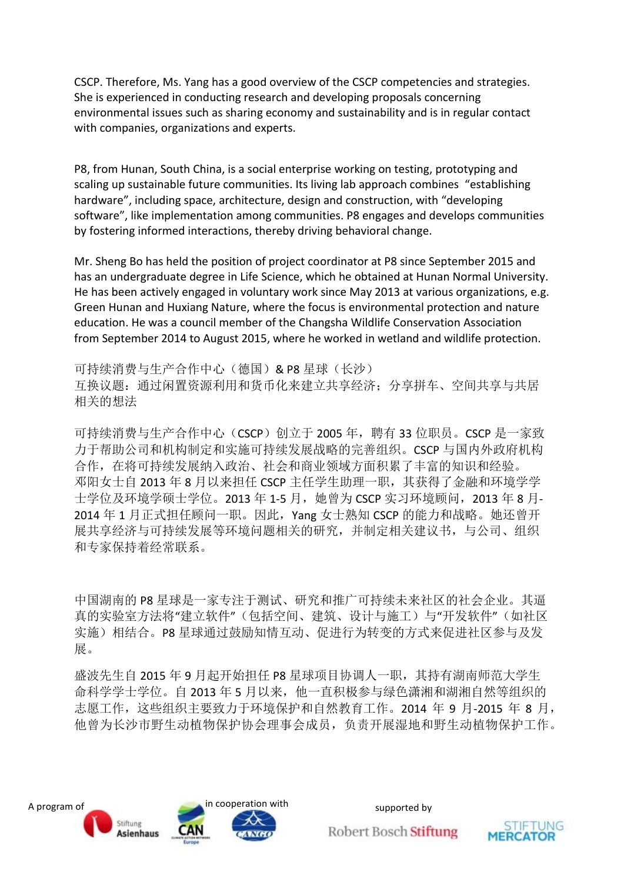CSCP. Therefore, Ms. Yang has a good overview of the CSCP competencies and strategies. She is experienced in conducting research and developing proposals concerning environmental issues such as sharing economy and sustainability and is in regular contact with companies, organizations and experts.

P8, from Hunan, South China, is a social enterprise working on testing, prototyping and scaling up sustainable future communities. Its living lab approach combines "establishing hardware", including space, architecture, design and construction, with "developing software", like implementation among communities. P8 engages and develops communities by fostering informed interactions, thereby driving behavioral change.

Mr. Sheng Bo has held the position of project coordinator at P8 since September 2015 and has an undergraduate degree in Life Science, which he obtained at Hunan Normal University. He has been actively engaged in voluntary work since May 2013 at various organizations, e.g. Green Hunan and Huxiang Nature, where the focus is environmental protection and nature education. He was a council member of the Changsha Wildlife Conservation Association from September 2014 to August 2015, where he worked in wetland and wildlife protection.

可持续消费与生产合作中心(德国)& P8 星球(长沙) 互换议题:通过闲置资源利用和货币化来建立共享经济;分享拼车、空间共享与共居 相关的想法

可持续消费与生产合作中心(CSCP)创立于 2005 年,聘有 33 位职员。CSCP 是一家致 力于帮助公司和机构制定和实施可持续发展战略的完善组织。CSCP 与国内外政府机构 合作,在将可持续发展纳入政治、社会和商业领域方面积累了丰富的知识和经验。 邓阳女士自 2013 年 8 月以来担任 CSCP 主任学生助理一职,其获得了金融和环境学学 士学位及环境学硕士学位。2013 年 1-5 月, 她曾为 CSCP 实习环境顾问, 2013 年 8 月-2014 年 1 月正式担任顾问一职。因此, Yang 女士熟知 CSCP 的能力和战略。她还曾开 展共享经济与可持续发展等环境问题相关的研究,并制定相关建议书,与公司、组织 和专家保持着经常联系。

中国湖南的 P8 星球是一家专注于测试、研究和推广可持续未来社区的社会企业。其逼 真的实验室方法将"建立软件"(包括空间、建筑、设计与施工)与"开发软件"(如社区 实施)相结合。P8 星球通过鼓励知情互动、促进行为转变的方式来促进社区参与及发 展。

盛波先生自 2015 年 9 月起开始担任 P8 星球项目协调人一职, 其持有湖南师范大学生 命科学学士学位。自 2013 年 5 月以来,他一直积极参与绿色潇湘和湖湘自然等组织的 志愿工作,这些组织主要致力于环境保护和自然教育工作。2014 年 9 月-2015 年 8 月, 他曾为长沙市野生动植物保护协会理事会成员,负责开展湿地和野生动植物保护工作。

![](_page_15_Picture_7.jpeg)

![](_page_15_Picture_10.jpeg)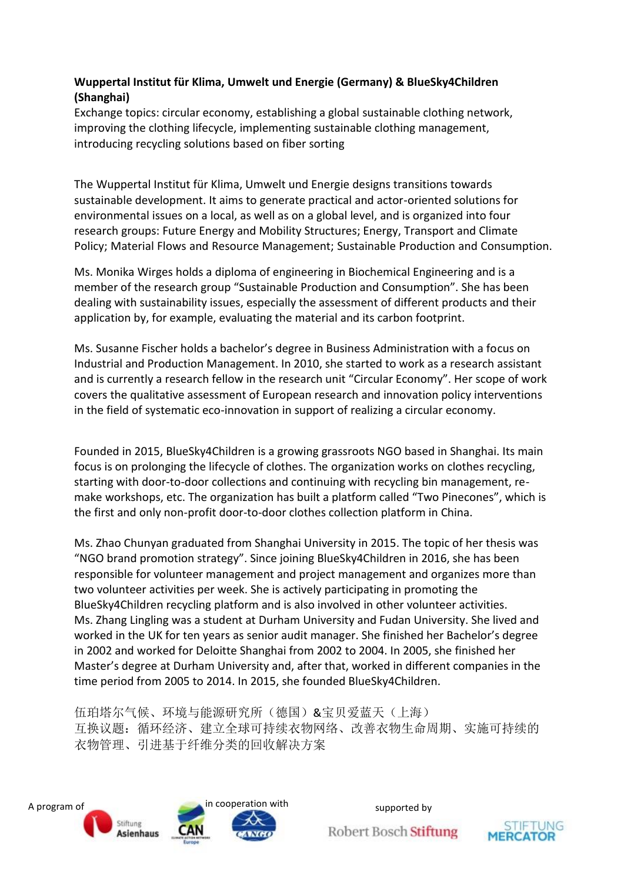#### **Wuppertal Institut für Klima, Umwelt und Energie (Germany) & BlueSky4Children (Shanghai)**

Exchange topics: circular economy, establishing a global sustainable clothing network, improving the clothing lifecycle, implementing sustainable clothing management, introducing recycling solutions based on fiber sorting

The Wuppertal Institut für Klima, Umwelt und Energie designs transitions towards sustainable development. It aims to generate practical and actor-oriented solutions for environmental issues on a local, as well as on a global level, and is organized into four research groups: Future Energy and Mobility Structures; Energy, Transport and Climate Policy; Material Flows and Resource Management; Sustainable Production and Consumption.

Ms. Monika Wirges holds a diploma of engineering in Biochemical Engineering and is a member of the research group "Sustainable Production and Consumption". She has been dealing with sustainability issues, especially the assessment of different products and their application by, for example, evaluating the material and its carbon footprint.

Ms. Susanne Fischer holds a bachelor's degree in Business Administration with a focus on Industrial and Production Management. In 2010, she started to work as a research assistant and is currently a research fellow in the research unit "Circular Economy". Her scope of work covers the qualitative assessment of European research and innovation policy interventions in the field of systematic eco-innovation in support of realizing a circular economy.

Founded in 2015, BlueSky4Children is a growing grassroots NGO based in Shanghai. Its main focus is on prolonging the lifecycle of clothes. The organization works on clothes recycling, starting with door-to-door collections and continuing with recycling bin management, remake workshops, etc. The organization has built a platform called "Two Pinecones", which is the first and only non-profit door-to-door clothes collection platform in China.

Ms. Zhao Chunyan graduated from Shanghai University in 2015. The topic of her thesis was "NGO brand promotion strategy". Since joining BlueSky4Children in 2016, she has been responsible for volunteer management and project management and organizes more than two volunteer activities per week. She is actively participating in promoting the BlueSky4Children recycling platform and is also involved in other volunteer activities. Ms. Zhang Lingling was a student at Durham University and Fudan University. She lived and worked in the UK for ten years as senior audit manager. She finished her Bachelor's degree in 2002 and worked for Deloitte Shanghai from 2002 to 2004. In 2005, she finished her Master's degree at Durham University and, after that, worked in different companies in the time period from 2005 to 2014. In 2015, she founded BlueSky4Children.

伍珀塔尔气候、环境与能源研究所(德国)&宝贝爱蓝天(上海) 互换议题:循环经济、建立全球可持续衣物网络、改善衣物生命周期、实施可持续的 衣物管理、引进基于纤维分类的回收解决方案

![](_page_16_Picture_8.jpeg)

![](_page_16_Picture_11.jpeg)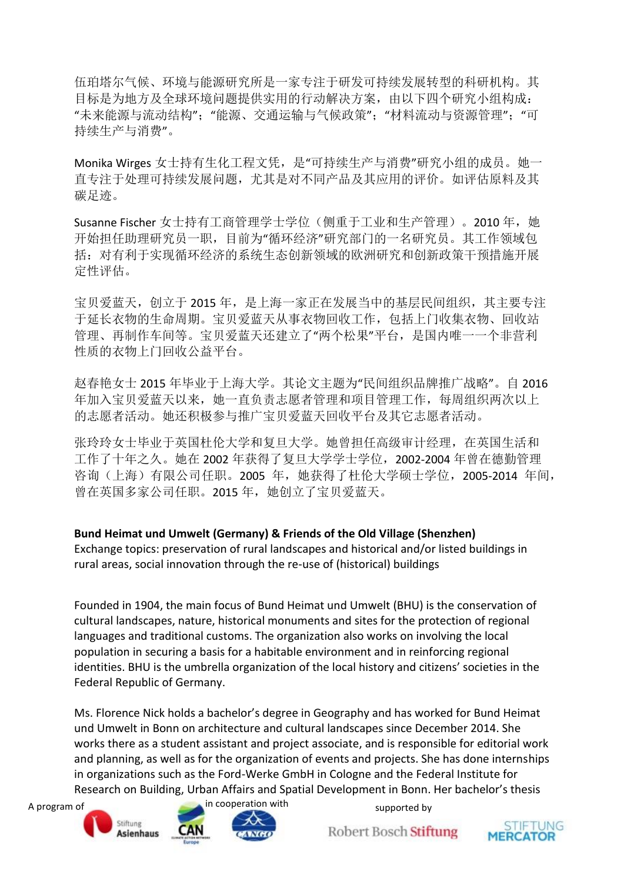伍珀塔尔气候、环境与能源研究所是一家专注于研发可持续发展转型的科研机构。其 目标是为地方及全球环境问题提供实用的行动解决方案,由以下四个研究小组构成: "未来能源与流动结构";"能源、交通运输与气候政策";"材料流动与资源管理";"可 持续生产与消费"。

Monika Wirges 女士持有生化工程文凭,是"可持续生产与消费"研究小组的成员。她一 直专注于处理可持续发展问题,尤其是对不同产品及其应用的评价。如评估原料及其 碳足迹。

Susanne Fischer 女士持有工商管理学士学位(侧重于工业和生产管理)。2010 年, 她 开始担任助理研究员一职,目前为"循环经济"研究部门的一名研究员。其工作领域包 括:对有利于实现循环经济的系统生态创新领域的欧洲研究和创新政策干预措施开展 定性评估。

宝贝爱蓝天,创立于2015年,是上海一家正在发展当中的基层民间组织,其主要专注 于延长衣物的生命周期。宝贝爱蓝天从事衣物回收工作,包括上门收集衣物、回收站 管理、再制作车间等。宝贝爱蓝天还建立了"两个松果"平台,是国内唯一一个非营利 性质的衣物上门回收公益平台。

赵春艳女士 2015 年毕业于上海大学。其论文主题为"民间组织品牌推广战略"。自 2016 年加入宝贝爱蓝天以来,她一直负责志愿者管理和项目管理工作,每周组织两次以上 的志愿者活动。她还积极参与推广宝贝爱蓝天回收平台及其它志愿者活动。

张玲玲女士毕业于英国杜伦大学和复旦大学。她曾担任高级审计经理,在英国生活和 工作了十年之久。她在 2002 年获得了复旦大学学士学位,2002-2004 年曾在德勤管理 咨询(上海)有限公司任职。2005 年,她获得了杜伦大学硕士学位,2005-2014 年间, 曾在英国多家公司任职。2015 年,她创立了宝贝爱蓝天。

**Bund Heimat und Umwelt (Germany) & Friends of the Old Village (Shenzhen)** Exchange topics: preservation of rural landscapes and historical and/or listed buildings in rural areas, social innovation through the re-use of (historical) buildings

Founded in 1904, the main focus of Bund Heimat und Umwelt (BHU) is the conservation of cultural landscapes, nature, historical monuments and sites for the protection of regional languages and traditional customs. The organization also works on involving the local population in securing a basis for a habitable environment and in reinforcing regional identities. BHU is the umbrella organization of the local history and citizens' societies in the Federal Republic of Germany.

Ms. Florence Nick holds a bachelor's degree in Geography and has worked for Bund Heimat und Umwelt in Bonn on architecture and cultural landscapes since December 2014. She works there as a student assistant and project associate, and is responsible for editorial work and planning, as well as for the organization of events and projects. She has done internships in organizations such as the Ford-Werke GmbH in Cologne and the Federal Institute for Research on Building, Urban Affairs and Spatial Development in Bonn. Her bachelor's thesis

![](_page_17_Picture_9.jpeg)

![](_page_17_Picture_10.jpeg)

![](_page_17_Picture_11.jpeg)

![](_page_17_Picture_14.jpeg)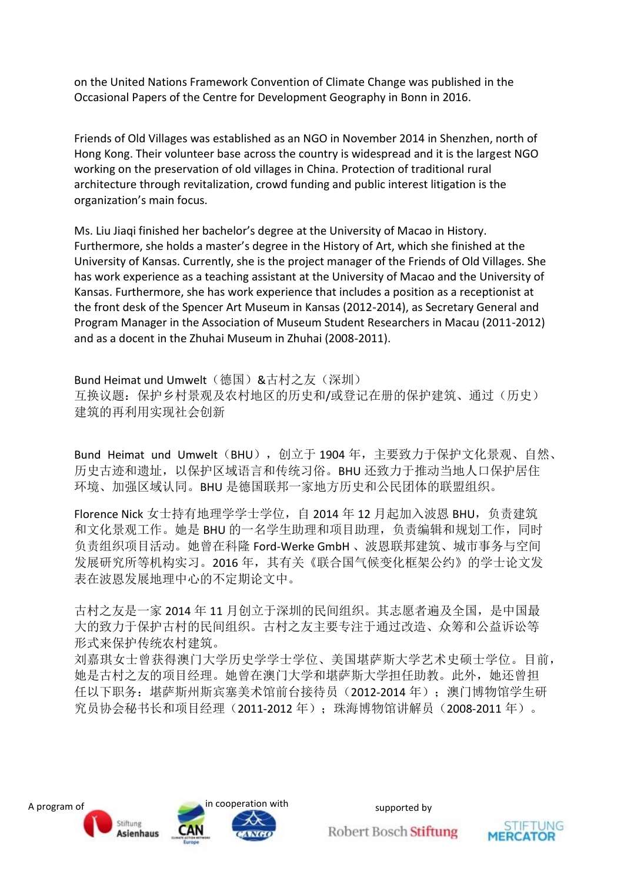on the United Nations Framework Convention of Climate Change was published in the Occasional Papers of the Centre for Development Geography in Bonn in 2016.

Friends of Old Villages was established as an NGO in November 2014 in Shenzhen, north of Hong Kong. Their volunteer base across the country is widespread and it is the largest NGO working on the preservation of old villages in China. Protection of traditional rural architecture through revitalization, crowd funding and public interest litigation is the organization's main focus.

Ms. Liu Jiaqi finished her bachelor's degree at the University of Macao in History. Furthermore, she holds a master's degree in the History of Art, which she finished at the University of Kansas. Currently, she is the project manager of the Friends of Old Villages. She has work experience as a teaching assistant at the University of Macao and the University of Kansas. Furthermore, she has work experience that includes a position as a receptionist at the front desk of the Spencer Art Museum in Kansas (2012-2014), as Secretary General and Program Manager in the Association of Museum Student Researchers in Macau (2011-2012) and as a docent in the Zhuhai Museum in Zhuhai (2008-2011).

Bund Heimat und Umwelt(德国)&古村之友(深圳) 互换议题:保护乡村景观及农村地区的历史和/或登记在册的保护建筑、通过(历史) 建筑的再利用实现社会创新

Bund Heimat und Umwelt (BHU), 创立于 1904 年, 主要致力于保护文化景观、自然、 历史古迹和遗址,以保护区域语言和传统习俗。BHU 还致力于推动当地人口保护居住 环境、加强区域认同。BHU 是德国联邦一家地方历史和公民团体的联盟组织。

Florence Nick 女士持有地理学学士学位, 自 2014 年 12 月起加入波恩 BHU, 负责建筑 和文化景观工作。她是 BHU 的一名学生助理和项目助理, 负责编辑和规划工作, 同时 负责组织项目活动。她曾在科隆 Ford-Werke GmbH 、波恩联邦建筑、城市事务与空间 发展研究所等机构实习。2016 年,其有关《联合国气候变化框架公约》的学士论文发 表在波恩发展地理中心的不定期论文中。

古村之友是一家 2014 年 11 月创立于深圳的民间组织。其志愿者遍及全国,是中国最 大的致力于保护古村的民间组织。古村之友主要专注于通过改造、众筹和公益诉讼等 形式来保护传统农村建筑。

刘嘉琪女士曾获得澳门大学历史学学士学位、美国堪萨斯大学艺术史硕士学位。目前, 她是古村之友的项目经理。她曾在澳门大学和堪萨斯大学担任助教。此外,她还曾担 任以下职务: 堪萨斯州斯宾塞美术馆前台接待员(2012-2014年);澳门博物馆学生研 究员协会秘书长和项目经理(2011-2012 年);珠海博物馆讲解员(2008-2011 年)。

![](_page_18_Picture_8.jpeg)

![](_page_18_Picture_11.jpeg)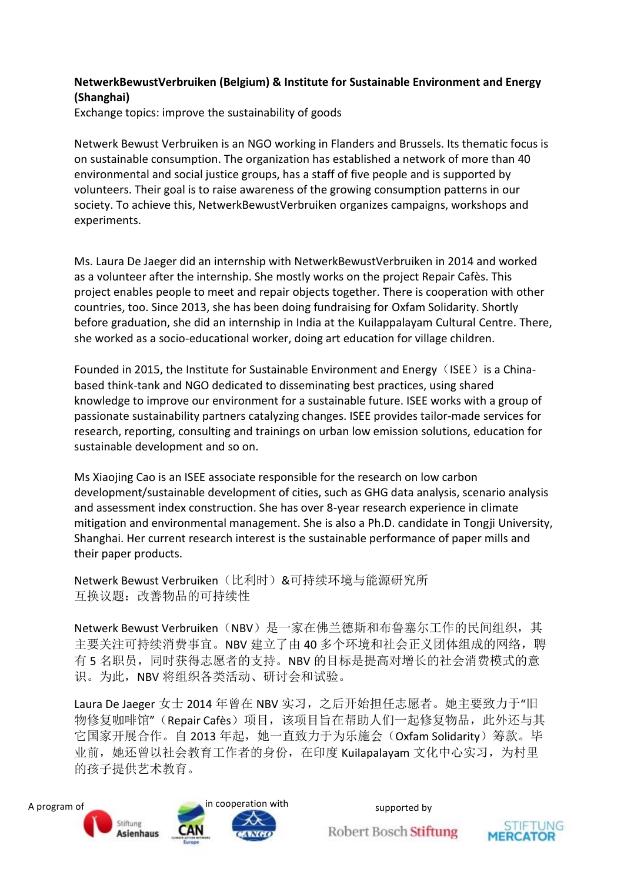#### **NetwerkBewustVerbruiken (Belgium) & Institute for Sustainable Environment and Energy (Shanghai)**

Exchange topics: improve the sustainability of goods

Netwerk Bewust Verbruiken is an NGO working in Flanders and Brussels. Its thematic focus is on sustainable consumption. The organization has established a network of more than 40 environmental and social justice groups, has a staff of five people and is supported by volunteers. Their goal is to raise awareness of the growing consumption patterns in our society. To achieve this, NetwerkBewustVerbruiken organizes campaigns, workshops and experiments.

Ms. Laura De Jaeger did an internship with NetwerkBewustVerbruiken in 2014 and worked as a volunteer after the internship. She mostly works on the project Repair Cafès. This project enables people to meet and repair objects together. There is cooperation with other countries, too. Since 2013, she has been doing fundraising for Oxfam Solidarity. Shortly before graduation, she did an internship in India at the Kuilappalayam Cultural Centre. There, she worked as a socio-educational worker, doing art education for village children.

Founded in 2015, the Institute for Sustainable Environment and Energy (ISEE) is a Chinabased think-tank and NGO dedicated to disseminating best practices, using shared knowledge to improve our environment for a sustainable future. ISEE works with a group of passionate sustainability partners catalyzing changes. ISEE provides tailor-made services for research, reporting, consulting and trainings on urban low emission solutions, education for sustainable development and so on.

Ms Xiaojing Cao is an ISEE associate responsible for the research on low carbon development/sustainable development of cities, such as GHG data analysis, scenario analysis and assessment index construction. She has over 8-year research experience in climate mitigation and environmental management. She is also a Ph.D. candidate in Tongji University, Shanghai. Her current research interest is the sustainable performance of paper mills and their paper products.

Netwerk Bewust Verbruiken(比利时)&可持续环境与能源研究所 互换议题:改善物品的可持续性

Netwerk Bewust Verbruiken (NBV) 是一家在佛兰德斯和布鲁塞尔工作的民间组织, 其 主要关注可持续消费事宜。NBV 建立了由 40 多个环境和社会正义团体组成的网络, 聘 有 5 名职员,同时获得志愿者的支持。NBV 的目标是提高对增长的社会消费模式的意 识。为此,NBV 将组织各类活动、研讨会和试验。

Laura De Jaeger 女士 2014 年曾在 NBV 实习, 之后开始担任志愿者。她主要致力于"旧 物修复咖啡馆"(Repair Cafès)项目,该项目旨在帮助人们一起修复物品,此外还与其 它国家开展合作。自 2013 年起, 她一直致力于为乐施会(Oxfam Solidarity) 筹款。毕 业前,她还曾以社会教育工作者的身份,在印度 Kuilapalayam 文化中心实习,为村里 的孩子提供艺术教育。

![](_page_19_Picture_9.jpeg)

![](_page_19_Picture_12.jpeg)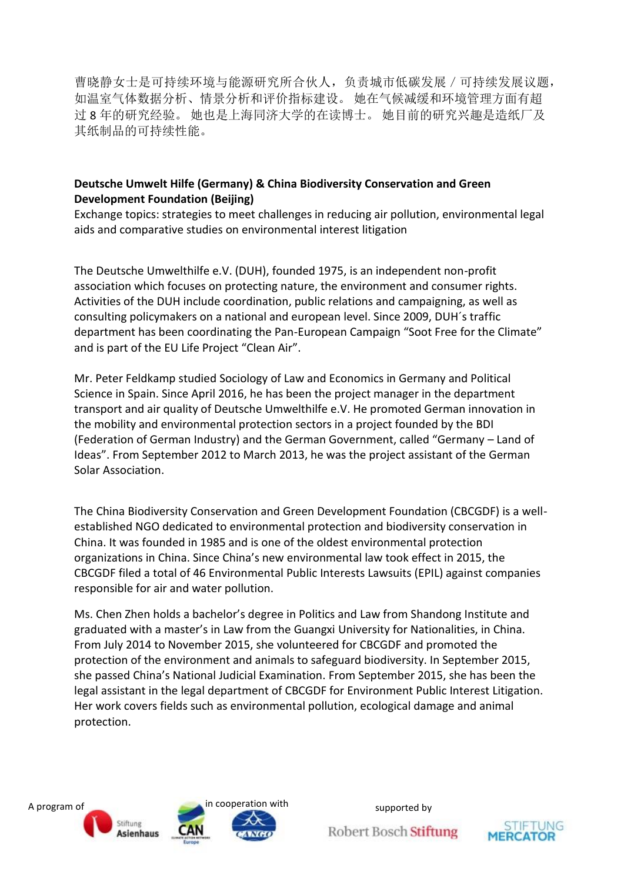曹晓静女士是可持续环境与能源研究所合伙人,负责城市低碳发展/可持续发展议题, 如温室气体数据分析、情景分析和评价指标建设。 她在气候减缓和环境管理方面有超 过 8 年的研究经验。 她也是上海同济大学的在读博士。 她目前的研究兴趣是造纸厂及 其纸制品的可持续性能。

#### **Deutsche Umwelt Hilfe (Germany) & China Biodiversity Conservation and Green Development Foundation (Beijing)**

Exchange topics: strategies to meet challenges in reducing air pollution, environmental legal aids and comparative studies on environmental interest litigation

The Deutsche Umwelthilfe e.V. (DUH), founded 1975, is an independent non-profit association which focuses on protecting nature, the environment and consumer rights. Activities of the DUH include coordination, public relations and campaigning, as well as consulting policymakers on a national and european level. Since 2009, DUH´s traffic department has been coordinating the Pan-European Campaign "Soot Free for the Climate" and is part of the EU Life Project "Clean Air".

Mr. Peter Feldkamp studied Sociology of Law and Economics in Germany and Political Science in Spain. Since April 2016, he has been the project manager in the department transport and air quality of Deutsche Umwelthilfe e.V. He promoted German innovation in the mobility and environmental protection sectors in a project founded by the BDI (Federation of German Industry) and the German Government, called "Germany – Land of Ideas". From September 2012 to March 2013, he was the project assistant of the German Solar Association.

The China Biodiversity Conservation and Green Development Foundation (CBCGDF) is a wellestablished NGO dedicated to environmental protection and biodiversity conservation in China. It was founded in 1985 and is one of the oldest environmental protection organizations in China. Since China's new environmental law took effect in 2015, the CBCGDF filed a total of 46 Environmental Public Interests Lawsuits (EPIL) against companies responsible for air and water pollution.

Ms. Chen Zhen holds a bachelor's degree in Politics and Law from Shandong Institute and graduated with a master's in Law from the Guangxi University for Nationalities, in China. From July 2014 to November 2015, she volunteered for CBCGDF and promoted the protection of the environment and animals to safeguard biodiversity. In September 2015, she passed China's National Judicial Examination. From September 2015, she has been the legal assistant in the legal department of CBCGDF for Environment Public Interest Litigation. Her work covers fields such as environmental pollution, ecological damage and animal protection.

![](_page_20_Picture_7.jpeg)

![](_page_20_Picture_10.jpeg)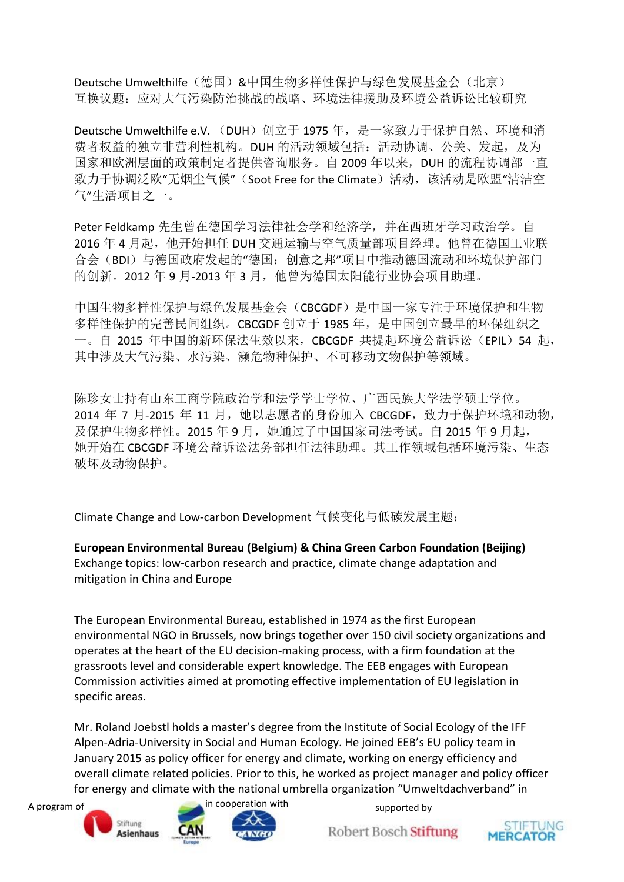Deutsche Umwelthilfe(德国)&中国生物多样性保护与绿色发展基金会(北京) 互换议题:应对大气污染防治挑战的战略、环境法律援助及环境公益诉讼比较研究

Deutsche Umwelthilfe e.V. (DUH)创立于 1975 年, 是一家致力于保护自然、环境和消 费者权益的独立非营利性机构。DUH 的活动领域包括: 活动协调、公关、发起, 及为 国家和欧洲层面的政策制定者提供咨询服务。自 2009 年以来, DUH 的流程协调部一直 致力于协调泛欧"无烟尘气候"(Soot Free for the Climate)活动,该活动是欧盟"清洁空 气"生活项目之一。

Peter Feldkamp 先生曾在德国学习法律社会学和经济学,并在西班牙学习政治学。自 2016年 4 月起, 他开始担任 DUH 交通运输与空气质量部项目经理。他曾在德国工业联 合会(BDI)与德国政府发起的"德国:创意之邦"项目中推动德国流动和环境保护部门 的创新。2012 年 9 月-2013 年 3 月,他曾为德国太阳能行业协会项目助理。

中国生物多样性保护与绿色发展基金会(CBCGDF)是中国一家专注于环境保护和生物 多样性保护的完善民间组织。CBCGDF 创立于 1985 年,是中国创立最早的环保组织之 一。自 2015 年中国的新环保法生效以来, CBCGDF 共提起环境公益诉讼 (EPIL) 54 起, 其中涉及大气污染、水污染、濒危物种保护、不可移动文物保护等领域。

陈珍女士持有山东工商学院政治学和法学学士学位、广西民族大学法学硕士学位。 2014 年 7 月-2015 年 11 月, 她以志愿者的身份加入 CBCGDF, 致力于保护环境和动物, 及保护生物多样性。2015 年 9 月,她通过了中国国家司法考试。自 2015 年 9 月起, 她开始在 CBCGDF 环境公益诉讼法务部担任法律助理。其工作领域包括环境污染、生态 破坏及动物保护。

Climate Change and Low-carbon Development 气候变化与低碳发展主题:

**European Environmental Bureau (Belgium) & China Green Carbon Foundation (Beijing)** Exchange topics: low-carbon research and practice, climate change adaptation and mitigation in China and Europe

The European Environmental Bureau, established in 1974 as the first European environmental NGO in Brussels, now brings together over 150 civil society organizations and operates at the heart of the EU decision-making process, with a firm foundation at the grassroots level and considerable expert knowledge. The EEB engages with European Commission activities aimed at promoting effective implementation of EU legislation in specific areas.

Mr. Roland Joebstl holds a master's degree from the Institute of Social Ecology of the IFF Alpen-Adria-University in Social and Human Ecology. He joined EEB's EU policy team in January 2015 as policy officer for energy and climate, working on energy efficiency and overall climate related policies. Prior to this, he worked as project manager and policy officer for energy and climate with the national umbrella organization "Umweltdachverband" in

![](_page_21_Picture_9.jpeg)

![](_page_21_Picture_10.jpeg)

![](_page_21_Picture_11.jpeg)

![](_page_21_Picture_14.jpeg)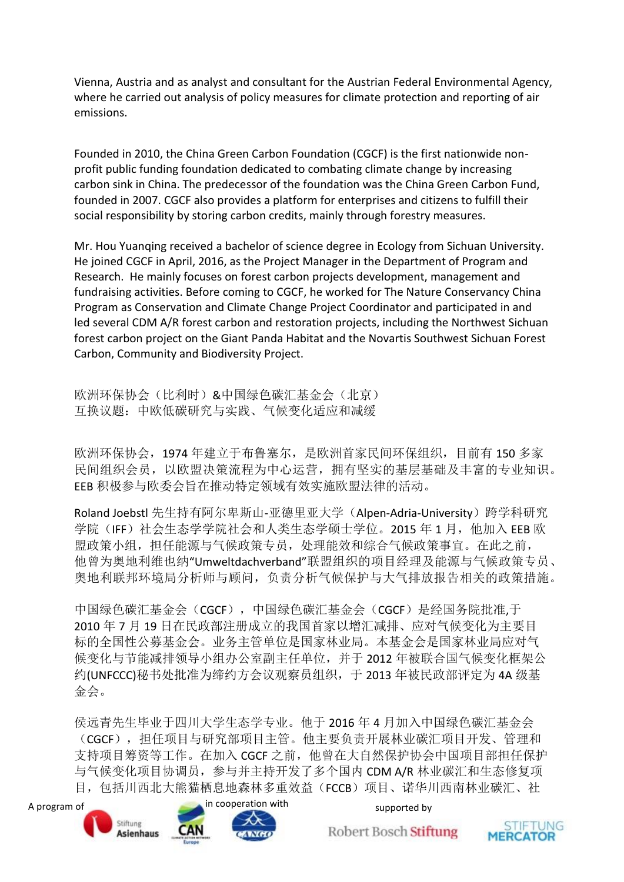Vienna, Austria and as analyst and consultant for the Austrian Federal Environmental Agency, where he carried out analysis of policy measures for climate protection and reporting of air emissions.

Founded in 2010, the China Green Carbon Foundation (CGCF) is the first nationwide nonprofit public funding foundation dedicated to combating climate change by increasing carbon sink in China. The predecessor of the foundation was the China Green Carbon Fund, founded in 2007. CGCF also provides a platform for enterprises and citizens to fulfill their social responsibility by storing carbon credits, mainly through forestry measures.

Mr. Hou Yuanqing received a bachelor of science degree in Ecology from Sichuan University. He joined CGCF in April, 2016, as the Project Manager in the Department of Program and Research. He mainly focuses on forest carbon projects development, management and fundraising activities. Before coming to CGCF, he worked for The Nature Conservancy China Program as Conservation and Climate Change Project Coordinator and participated in and led several CDM A/R forest carbon and restoration projects, including the Northwest Sichuan forest carbon project on the Giant Panda Habitat and the Novartis Southwest Sichuan Forest Carbon, Community and Biodiversity Project.

欧洲环保协会(比利时)&中国绿色碳汇基金会(北京) 互换议题:中欧低碳研究与实践、气候变化适应和减缓

欧洲环保协会,1974 年建立于布鲁塞尔,是欧洲首家民间环保组织,目前有 150 多家 民间组织会员,以欧盟决策流程为中心运营,拥有坚实的基层基础及丰富的专业知识。 EEB 积极参与欧委会旨在推动特定领域有效实施欧盟法律的活动。

Roland Joebstl 先生持有阿尔卑斯山-亚德里亚大学(Alpen-Adria-University)跨学科研究 学院(IFF)社会生态学学院社会和人类生态学硕士学位。2015 年 1 月, 他加入 EEB 欧 盟政策小组,担任能源与气候政策专员,处理能效和综合气候政策事宜。在此之前, 他曾为奥地利维也纳"Umweltdachverband"联盟组织的项目经理及能源与气候政策专员、 奥地利联邦环境局分析师与顾问,负责分析气候保护与大气排放报告相关的政策措施。

中国绿色碳汇基金会(CGCF), 中国绿色碳汇基金会(CGCF)是经国务院批准,于 2010 年 7 月 19 日在民政部注册成立的我国首家以增汇减排、应对气候变化为主要目 标的全国性公募基金会。业务主管单位是国家林业局。本基金会是国家林业局应对气 候变化与节能减排领导小组办公室副主任单位,并于 2012 年被联合国气候变化框架公 约(UNFCCC)秘书处批准为缔约方会议观察员组织,于 2013 年被民政部评定为 4A 级基 金会。

侯远青先生毕业于四川大学生态学专业。他于 2016 年 4 月加入中国绿色碳汇基金会 (CGCF),担任项目与研究部项目主管。他主要负责开展林业碳汇项目开发、管理和 支持项目筹资等工作。在加入 CGCF 之前,他曾在大自然保护协会中国项目部担任保护 与气候变化项目协调员,参与并主持开发了多个国内 CDM A/R 林业碳汇和生态修复项 目,包括川西北大熊猫栖息地森林多重效益(FCCB)项目、诺华川西南林业碳汇、社

![](_page_22_Picture_8.jpeg)

![](_page_22_Picture_9.jpeg)

![](_page_22_Picture_12.jpeg)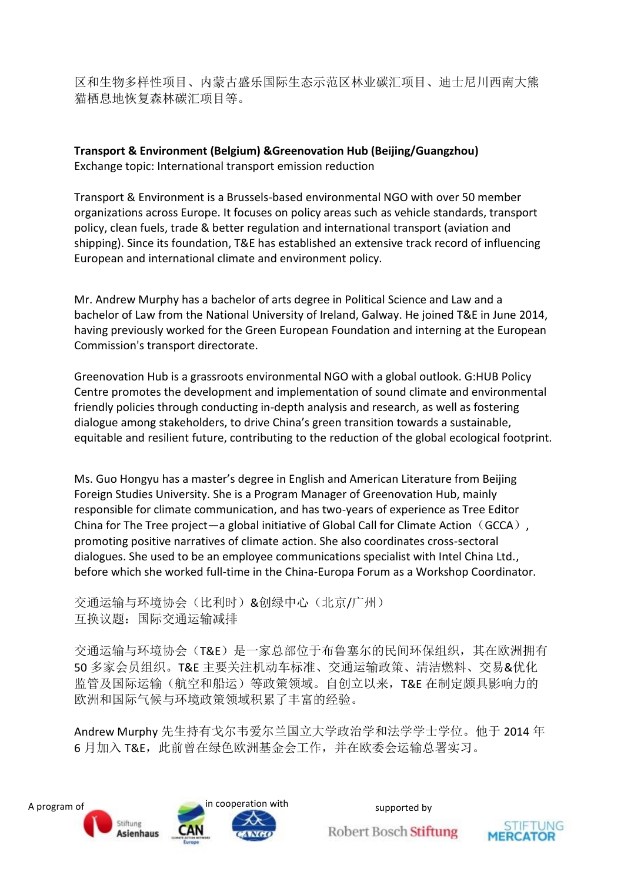区和生物多样性项目、内蒙古盛乐国际生态示范区林业碳汇项目、迪士尼川西南大熊 猫栖息地恢复森林碳汇项目等。

**Transport & Environment (Belgium) &Greenovation Hub (Beijing/Guangzhou)** Exchange topic: International transport emission reduction

Transport & Environment is a Brussels-based environmental NGO with over 50 member organizations across Europe. It focuses on policy areas such as vehicle standards, transport policy, clean fuels, trade & better regulation and international transport (aviation and shipping). Since its foundation, T&E has established an extensive track record of influencing European and international climate and environment policy.

Mr. Andrew Murphy has a bachelor of arts degree in Political Science and Law and a bachelor of Law from the National University of Ireland, Galway. He joined T&E in June 2014, having previously worked for the Green European Foundation and interning at the European Commission's transport directorate.

Greenovation Hub is a grassroots environmental NGO with a global outlook. G:HUB Policy Centre promotes the development and implementation of sound climate and environmental friendly policies through conducting in-depth analysis and research, as well as fostering dialogue among stakeholders, to drive China's green transition towards a sustainable, equitable and resilient future, contributing to the reduction of the global ecological footprint.

Ms. Guo Hongyu has a master's degree in English and American Literature from Beijing Foreign Studies University. She is a Program Manager of Greenovation Hub, mainly responsible for climate communication, and has two-years of experience as Tree Editor China for The Tree project—a global initiative of Global Call for Climate Action (GCCA), promoting positive narratives of climate action. She also coordinates cross-sectoral dialogues. She used to be an employee communications specialist with Intel China Ltd., before which she worked full-time in the China-Europa Forum as a Workshop Coordinator.

交通运输与环境协会(比利时)&创绿中心(北京/广州) 互换议题:国际交通运输减排

交通运输与环境协会(T&E)是一家总部位于布鲁塞尔的民间环保组织,其在欧洲拥有 50 多家会员组织。T&E 主要关注机动车标准、交通运输政策、清洁燃料、交易&优化 监管及国际运输(航空和船运)等政策领域。自创立以来,T&E 在制定颇具影响力的 欧洲和国际气候与环境政策领域积累了丰富的经验。

Andrew Murphy 先生持有戈尔韦爱尔兰国立大学政治学和法学学士学位。他于 2014 年 6 月加入 T&E,此前曾在绿色欧洲基金会工作,并在欧委会运输总署实习。

![](_page_23_Picture_9.jpeg)

![](_page_23_Picture_12.jpeg)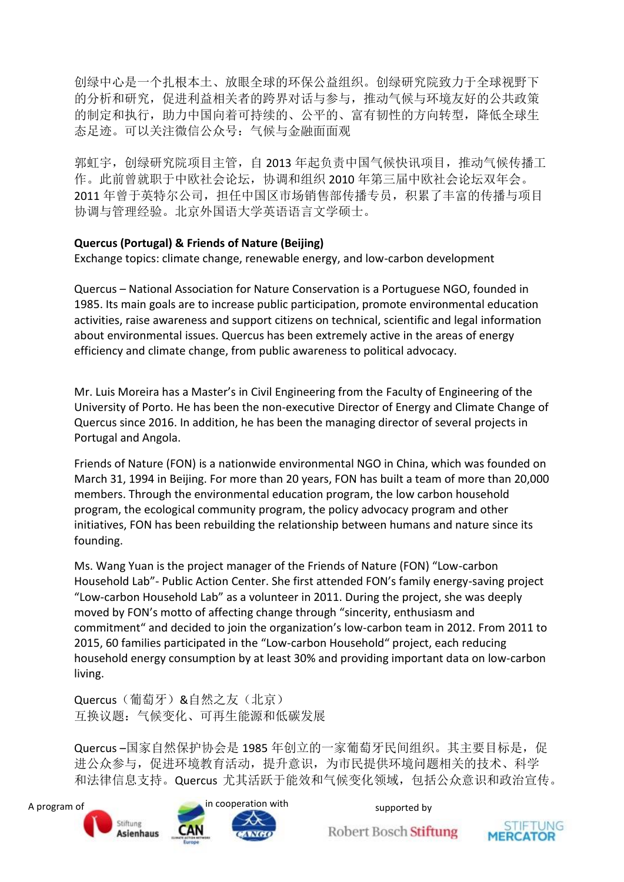创绿中心是一个扎根本土、放眼全球的环保公益组织。创绿研究院致力于全球视野下 的分析和研究,促进利益相关者的跨界对话与参与,推动气候与环境友好的公共政策 的制定和执行,助力中国向着可持续的、公平的、富有韧性的方向转型,降低全球生 态足迹。可以关注微信公众号:气候与金融面面观

郭虹宇,创绿研究院项目主管,自 2013 年起负责中国气候快讯项目,推动气候传播工 作。此前曾就职于中欧社会论坛,协调和组织 2010 年第三届中欧社会论坛双年会。 2011 年曾于英特尔公司,担任中国区市场销售部传播专员,积累了丰富的传播与项目 协调与管理经验。北京外国语大学英语语言文学硕士。

#### **Quercus (Portugal) & Friends of Nature (Beijing)**

Exchange topics: climate change, renewable energy, and low-carbon development

Quercus – National Association for Nature Conservation is a Portuguese NGO, founded in 1985. Its main goals are to increase public participation, promote environmental education activities, raise awareness and support citizens on technical, scientific and legal information about environmental issues. Quercus has been extremely active in the areas of energy efficiency and climate change, from public awareness to political advocacy.

Mr. Luis Moreira has a Master's in Civil Engineering from the Faculty of Engineering of the University of Porto. He has been the non-executive Director of Energy and Climate Change of Quercus since 2016. In addition, he has been the managing director of several projects in Portugal and Angola.

Friends of Nature (FON) is a nationwide environmental NGO in China, which was founded on March 31, 1994 in Beijing. For more than 20 years, FON has built a team of more than 20,000 members. Through the environmental education program, the low carbon household program, the ecological community program, the policy advocacy program and other initiatives, FON has been rebuilding the relationship between humans and nature since its founding.

Ms. Wang Yuan is the project manager of the Friends of Nature (FON) "Low-carbon Household Lab"- Public Action Center. She first attended FON's family energy-saving project "Low-carbon Household Lab" as a volunteer in 2011. During the project, she was deeply moved by FON's motto of affecting change through "sincerity, enthusiasm and commitment" and decided to join the organization's low-carbon team in 2012. From 2011 to 2015, 60 families participated in the "Low-carbon Household" project, each reducing household energy consumption by at least 30% and providing important data on low-carbon living.

Quercus(葡萄牙)&自然之友(北京) 互换议题:气候变化、可再生能源和低碳发展

Quercus –国家自然保护协会是 1985 年创立的一家葡萄牙民间组织。其主要目标是, 促 进公众参与,促进环境教育活动,提升意识,为市民提供环境问题相关的技术、科学 和法律信息支持。Quercus 尤其活跃于能效和气候变化领域,包括公众意识和政治宣传。

![](_page_24_Picture_10.jpeg)

![](_page_24_Picture_13.jpeg)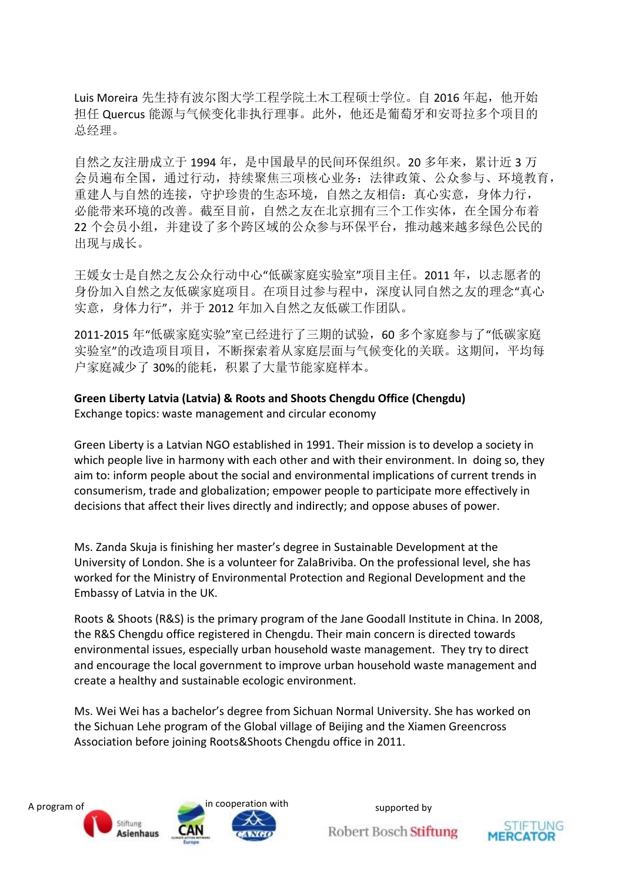Luis Moreira 先生持有波尔图大学工程学院土木工程硕士学位。自 2016 年起, 他开始 担任 Quercus 能源与气候变化非执行理事。此外,他还是葡萄牙和安哥拉多个项目的 总经理。

自然之友注册成立于1994年,是中国最早的民间环保组织。20多年来,累计近3万 会员遍布全国,通过行动,持续聚焦三项核心业务:法律政策、公众参与、环境教育, 重建人与自然的连接,守护珍贵的生态环境,自然之友相信:真心实意,身体力行, 必能带来环境的改善。截至目前,自然之友在北京拥有三个工作实体,在全国分布着 22 个会员小组,并建设了多个跨区域的公众参与环保平台,推动越来越多绿色公民的 出现与成长。

王媛女士是自然之友公众行动中心"低碳家庭实验室"项目主任。2011 年,以志愿者的 身份加入自然之友低碳家庭项目。在项目过参与程中,深度认同自然之友的理念"真心 实意,身体力行",并于 2012 年加入自然之友低碳工作团队。

2011-2015 年"低碳家庭实验"室已经进行了三期的试验,60 多个家庭参与了"低碳家庭 实验室"的改造项目项目,不断探索着从家庭层面与气候变化的关联。这期间,平均每 户家庭减少了30%的能耗,积累了大量节能家庭样本。

#### **Green Liberty Latvia (Latvia) & Roots and Shoots Chengdu Office (Chengdu)**

Exchange topics: waste management and circular economy

Green Liberty is a Latvian NGO established in 1991. Their mission is to develop a society in which people live in harmony with each other and with their environment. In doing so, they aim to: inform people about the social and environmental implications of current trends in consumerism, trade and globalization; empower people to participate more effectively in decisions that affect their lives directly and indirectly; and oppose abuses of power.

Ms. Zanda Skuja is finishing her master's degree in Sustainable Development at the University of London. She is a volunteer for ZalaBriviba. On the professional level, she has worked for the Ministry of Environmental Protection and Regional Development and the Embassy of Latvia in the UK.

Roots & Shoots (R&S) is the primary program of the Jane Goodall Institute in China. In 2008, the R&S Chengdu office registered in Chengdu. Their main concern is directed towards environmental issues, especially urban household waste management. They try to direct and encourage the local government to improve urban household waste management and create a healthy and sustainable ecologic environment.

Ms. Wei Wei has a bachelor's degree from Sichuan Normal University. She has worked on the Sichuan Lehe program of the Global village of Beijing and the Xiamen Greencross Association before joining Roots&Shoots Chengdu office in 2011.

![](_page_25_Picture_10.jpeg)

![](_page_25_Picture_13.jpeg)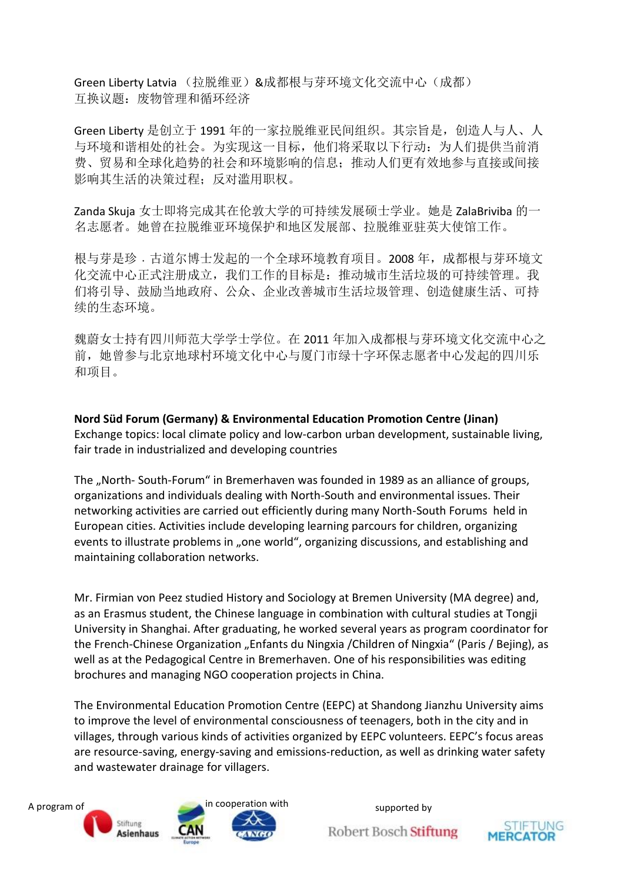Green Liberty Latvia (拉脱维亚) &成都根与芽环境文化交流中心(成都) 互换议题:废物管理和循环经济

Green Liberty 是创立于 1991 年的一家拉脱维亚民间组织。其宗旨是,创造人与人、人 与环境和谐相处的社会。为实现这一目标,他们将采取以下行动:为人们提供当前消 费、贸易和全球化趋势的社会和环境影响的信息;推动人们更有效地参与直接或间接 影响其生活的决策过程;反对滥用职权。

Zanda Skuja 女士即将完成其在伦敦大学的可持续发展硕士学业。她是 ZalaBriviba 的一 名志愿者。她曾在拉脱维亚环境保护和地区发展部、拉脱维亚驻英大使馆工作。

根与芽是珍. 古道尔博士发起的一个全球环境教育项目。2008年, 成都根与芽环境文 化交流中心正式注册成立,我们工作的目标是:推动城市生活垃圾的可持续管理。我 们将引导、鼓励当地政府、公众、企业改善城市生活垃圾管理、创造健康生活、可持 续的生态环境。

魏蔚女士持有四川师范大学学士学位。在 2011 年加入成都根与芽环境文化交流中心之 前,她曾参与北京地球村环境文化中心与厦门市绿十字环保志愿者中心发起的四川乐 和项目。

**Nord Süd Forum (Germany) & Environmental Education Promotion Centre (Jinan)** Exchange topics: local climate policy and low-carbon urban development, sustainable living, fair trade in industrialized and developing countries

The "North-South-Forum" in Bremerhaven was founded in 1989 as an alliance of groups, organizations and individuals dealing with North-South and environmental issues. Their networking activities are carried out efficiently during many North-South Forums held in European cities. Activities include developing learning parcours for children, organizing events to illustrate problems in "one world", organizing discussions, and establishing and maintaining collaboration networks.

Mr. Firmian von Peez studied History and Sociology at Bremen University (MA degree) and, as an Erasmus student, the Chinese language in combination with cultural studies at Tongji University in Shanghai. After graduating, he worked several years as program coordinator for the French-Chinese Organization "Enfants du Ningxia /Children of Ningxia" (Paris / Bejing), as well as at the Pedagogical Centre in Bremerhaven. One of his responsibilities was editing brochures and managing NGO cooperation projects in China.

The Environmental Education Promotion Centre (EEPC) at Shandong Jianzhu University aims to improve the level of environmental consciousness of teenagers, both in the city and in villages, through various kinds of activities organized by EEPC volunteers. EEPC's focus areas are resource-saving, energy-saving and emissions-reduction, as well as drinking water safety and wastewater drainage for villagers.

![](_page_26_Picture_9.jpeg)

![](_page_26_Picture_12.jpeg)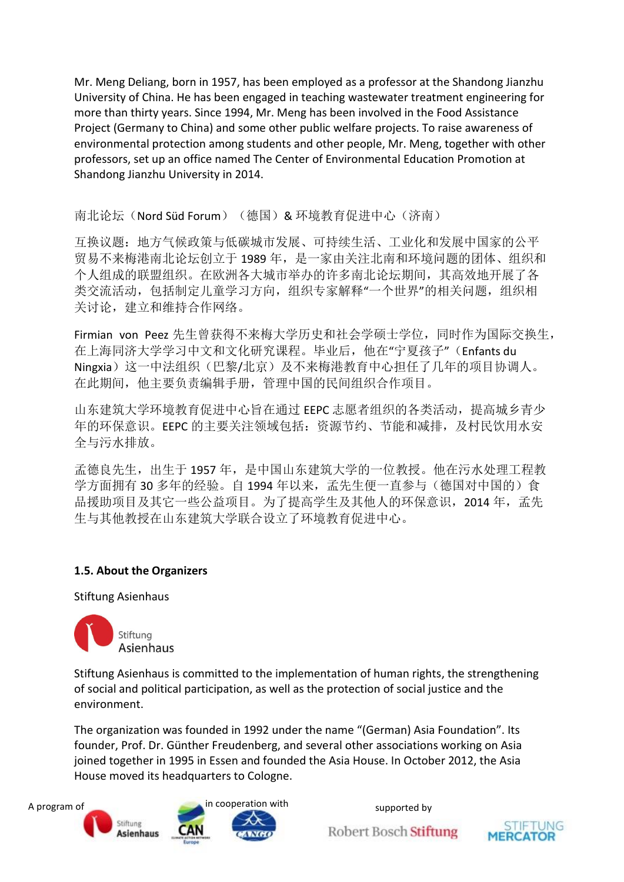Mr. Meng Deliang, born in 1957, has been employed as a professor at the Shandong Jianzhu University of China. He has been engaged in teaching wastewater treatment engineering for more than thirty years. Since 1994, Mr. Meng has been involved in the Food Assistance Project (Germany to China) and some other public welfare projects. To raise awareness of environmental protection among students and other people, Mr. Meng, together with other professors, set up an office named The Center of Environmental Education Promotion at Shandong Jianzhu University in 2014.

#### 南北论坛(Nord Süd Forum) (德国) & 环境教育促进中心(济南)

互换议题:地方气候政策与低碳城市发展、可持续生活、工业化和发展中国家的公平 贸易不来梅港南北论坛创立于 1989 年,是一家由关注北南和环境问题的团体、组织和 个人组成的联盟组织。在欧洲各大城市举办的许多南北论坛期间,其高效地开展了各 类交流活动,包括制定儿童学习方向,组织专家解释"一个世界"的相关问题,组织相 关讨论, 建立和维持合作网络。

Firmian von Peez 先生曾获得不来梅大学历史和社会学硕士学位,同时作为国际交换生, 在上海同济大学学习中文和文化研究课程。毕业后,他在"宁夏孩子"(Enfants du Ningxia)这一中法组织(巴黎/北京)及不来梅港教育中心担任了几年的项目协调人。 在此期间,他主要负责编辑手册,管理中国的民间组织合作项目。

山东建筑大学环境教育促进中心旨在通过 EEPC 志愿者组织的各类活动,提高城乡青少 年的环保意识。EEPC 的主要关注领域包括:资源节约、节能和减排,及村民饮用水安 全与污水排放。

孟德良先生,出生于 1957 年,是中国山东建筑大学的一位教授。他在污水处理工程教 学方面拥有 30 多年的经验。自 1994 年以来, 孟先生便一直参与(德国对中国的)食 品援助项目及其它一些公益项目。为了提高学生及其他人的环保意识, 2014 年, 孟先 生与其他教授在山东建筑大学联合设立了环境教育促进中心。

#### **1.5. About the Organizers**

Stiftung Asienhaus

![](_page_27_Picture_8.jpeg)

Stiftung Asienhaus is committed to the implementation of human rights, the strengthening of social and political participation, as well as the protection of social justice and the environment.

The organization was founded in 1992 under the name "(German) Asia Foundation". Its founder, Prof. Dr. Günther Freudenberg, and several other associations working on Asia joined together in 1995 in Essen and founded the Asia House. In October 2012, the Asia House moved its headquarters to Cologne.

![](_page_27_Picture_11.jpeg)

![](_page_27_Picture_14.jpeg)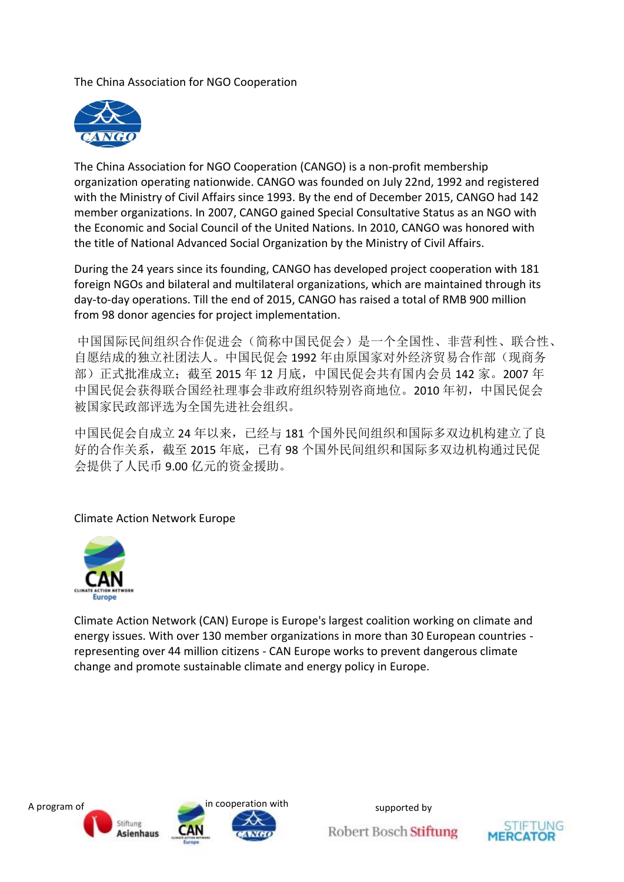The China Association for NGO Cooperation

![](_page_28_Picture_1.jpeg)

The China Association for NGO Cooperation (CANGO) is a non-profit membership organization operating nationwide. CANGO was founded on July 22nd, 1992 and registered with the Ministry of Civil Affairs since 1993. By the end of December 2015, CANGO had 142 member organizations. In 2007, CANGO gained Special Consultative Status as an NGO with the Economic and Social Council of the United Nations. In 2010, CANGO was honored with the title of National Advanced Social Organization by the Ministry of Civil Affairs.

During the 24 years since its founding, CANGO has developed project cooperation with 181 foreign NGOs and bilateral and multilateral organizations, which are maintained through its day-to-day operations. Till the end of 2015, CANGO has raised a total of RMB 900 million from 98 donor agencies for project implementation.

中国国际民间组织合作促进会(简称中国民促会)是一个全国性、非营利性、联合性、 自愿结成的独立社团法人。中国民促会 1992 年由原国家对外经济贸易合作部(现商务 部)正式批准成立;截至 2015 年 12 月底,中国民促会共有国内会员 142 家。2007 年 中国民促会获得联合国经社理事会非政府组织特别咨商地位。2010 年初,中国民促会 被国家民政部评选为全国先进社会组织。

中国民促会自成立 24 年以来,已经与 181 个国外民间组织和国际多双边机构建立了良 好的合作关系,截至 2015 年底,已有 98 个国外民间组织和国际多双边机构通过民促 会提供了人民币 9.00 亿元的资金援助。

Climate Action Network Europe

![](_page_28_Picture_7.jpeg)

Climate Action Network (CAN) Europe is Europe's largest coalition working on climate and energy issues. With over 130 member organizations in more than 30 European countries representing over 44 million citizens - CAN Europe works to prevent dangerous climate change and promote sustainable climate and energy policy in Europe.

![](_page_28_Picture_9.jpeg)

![](_page_28_Picture_12.jpeg)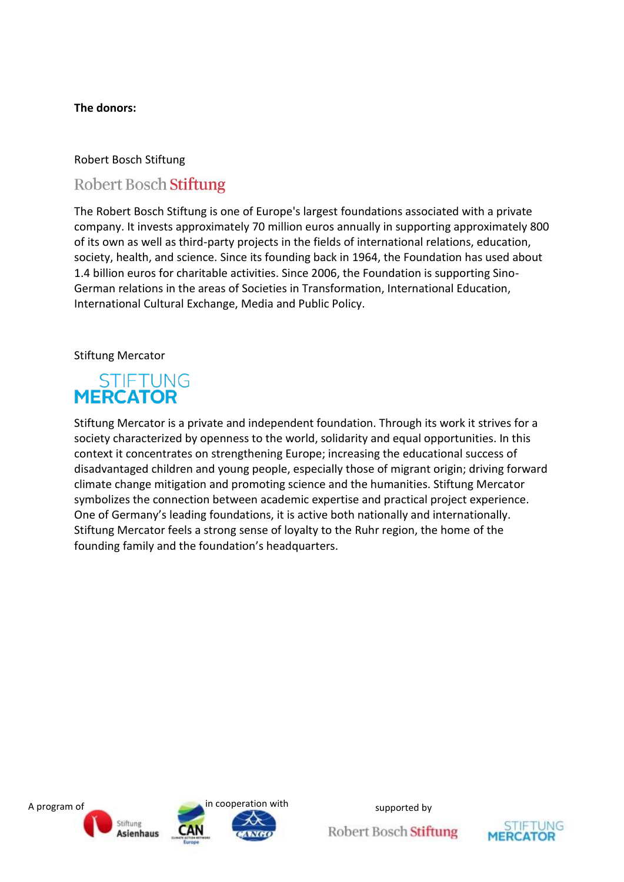#### **The donors:**

#### Robert Bosch Stiftung

# **Robert Bosch Stiftung**

The Robert Bosch Stiftung is one of Europe's largest foundations associated with a private company. It invests approximately 70 million euros annually in supporting approximately 800 of its own as well as third-party projects in the fields of international relations, education, society, health, and science. Since its founding back in 1964, the Foundation has used about 1.4 billion euros for charitable activities. Since 2006, the Foundation is supporting Sino-German relations in the areas of Societies in Transformation, International Education, International Cultural Exchange, Media and Public Policy.

#### Stiftung Mercator

# STIFTUNG<br>MERCATOR

Stiftung Mercator is a private and independent foundation. Through its work it strives for a society characterized by openness to the world, solidarity and equal opportunities. In this context it concentrates on strengthening Europe; increasing the educational success of disadvantaged children and young people, especially those of migrant origin; driving forward climate change mitigation and promoting science and the humanities. Stiftung Mercator symbolizes the connection between academic expertise and practical project experience. One of Germany's leading foundations, it is active both nationally and internationally. Stiftung Mercator feels a strong sense of loyalty to the Ruhr region, the home of the founding family and the foundation's headquarters.

![](_page_29_Picture_7.jpeg)

![](_page_29_Picture_10.jpeg)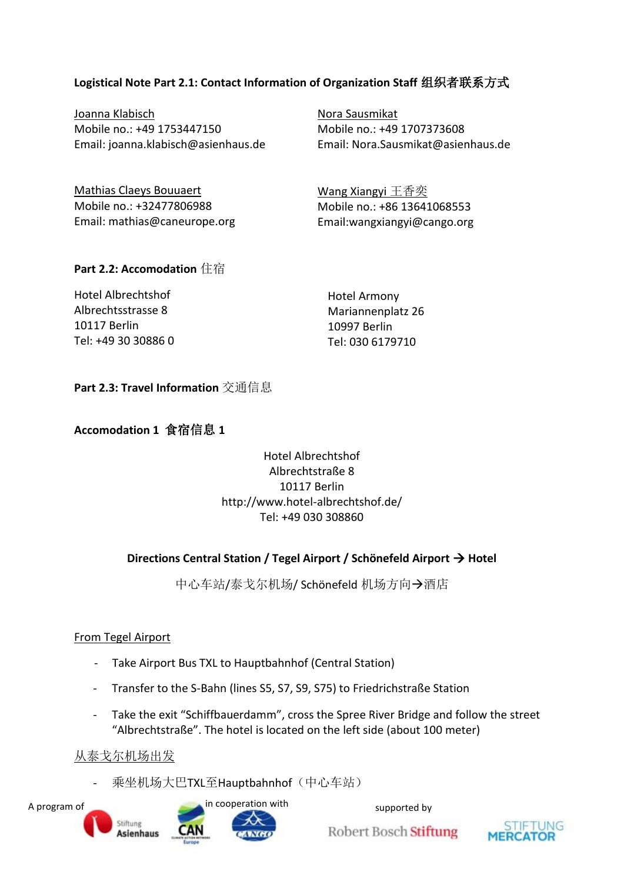#### **Logistical Note Part 2.1: Contact Information of Organization Staff** 组织者联系方式

Joanna Klabisch Mobile no.: +49 1753447150 Email: joanna.klabisch@asienhaus.de Nora Sausmikat Mobile no.: +49 1707373608 Email: Nora.Sausmikat@asienhaus.de

| Mathias Claeys Bouuaert      | Wang Xiangyi 王香奕            |
|------------------------------|-----------------------------|
| Mobile no.: +32477806988     | Mobile no.: +86 13641068553 |
| Email: mathias@caneurope.org | Email:wangxiangyi@cango.org |

#### **Part 2.2: Accomodation** 住宿

| Hotel Albrechtshof  | <b>Hotel Armony</b> |
|---------------------|---------------------|
| Albrechtsstrasse 8  | Mariannenplatz 26   |
| 10117 Berlin        | 10997 Berlin        |
| Tel: +49 30 30886 0 | Tel: 030 6179710    |

**Part 2.3: Travel Information** 交通信息

#### **Accomodation 1** 食宿信息 **1**

#### Hotel Albrechtshof Albrechtstraße 8 10117 Berlin http://www.hotel-albrechtshof.de/ Tel: +49 030 308860

#### **Directions Central Station / Tegel Airport / Schönefeld Airport → Hotel**

中心车站/泰戈尔机场/ Schönefeld 机场方向→酒店

#### From Tegel Airport

- Take Airport Bus TXL to Hauptbahnhof (Central Station)
- Transfer to the S-Bahn (lines S5, S7, S9, S75) to Friedrichstraße Station
- Take the exit "Schiffbauerdamm", cross the Spree River Bridge and follow the street "Albrechtstraße". The hotel is located on the left side (about 100 meter)

#### 从泰戈尔机场出发

- 乘坐机场大巴TXL至Hauptbahnhof(中心车站)

![](_page_30_Picture_17.jpeg)

![](_page_30_Picture_20.jpeg)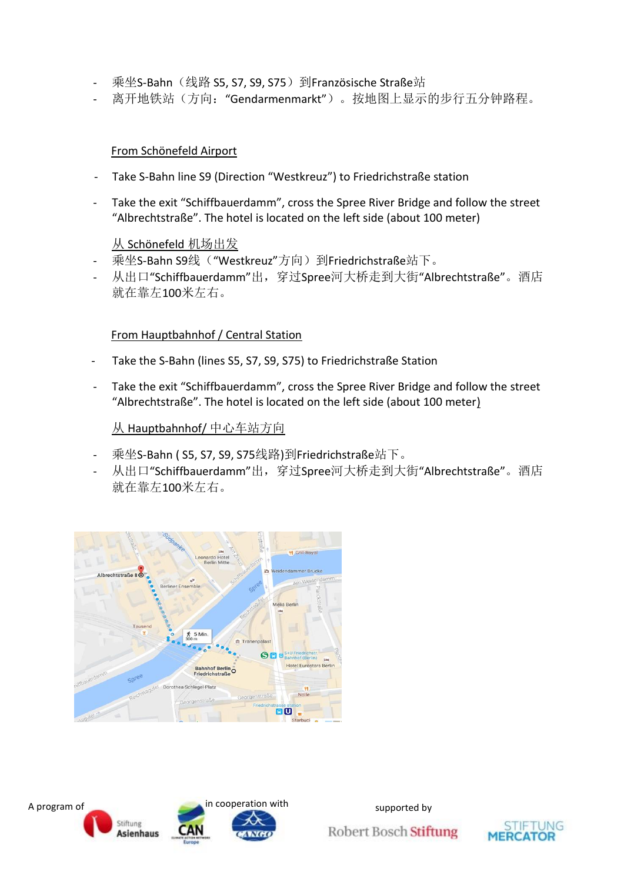- 乘坐S-Bahn (线路 S5, S7, S9, S75)到Französische Straße站
- 离开地铁站(方向:"Gendarmenmarkt")。按地图上显示的步行五分钟路程。

#### From Schönefeld Airport

- Take S-Bahn line S9 (Direction "Westkreuz") to Friedrichstraße station
- Take the exit "Schiffbauerdamm", cross the Spree River Bridge and follow the street "Albrechtstraße". The hotel is located on the left side (about 100 meter)

从 Schönefeld 机场出发

- 乘坐S-Bahn S9线("Westkreuz"方向)到Friedrichstraße站下。
- 从出口"Schiffbauerdamm"出,穿过Spree河大桥走到大街"Albrechtstraße"。酒店 就在靠左100米左右。

#### From Hauptbahnhof / Central Station

- Take the S-Bahn (lines S5, S7, S9, S75) to Friedrichstraße Station
- Take the exit "Schiffbauerdamm", cross the Spree River Bridge and follow the street "Albrechtstraße". The hotel is located on the left side (about 100 meter)

从 Hauptbahnhof/ 中心车站方向

- 乘坐S-Bahn ( S5, S7, S9, S75线路)到Friedrichstraße站下。
- 从出口"Schiffbauerdamm"出,穿过Spree河大桥走到大街"Albrechtstraße"。酒店 就在靠左100米左右。

![](_page_31_Picture_14.jpeg)

![](_page_31_Picture_15.jpeg)

![](_page_31_Picture_18.jpeg)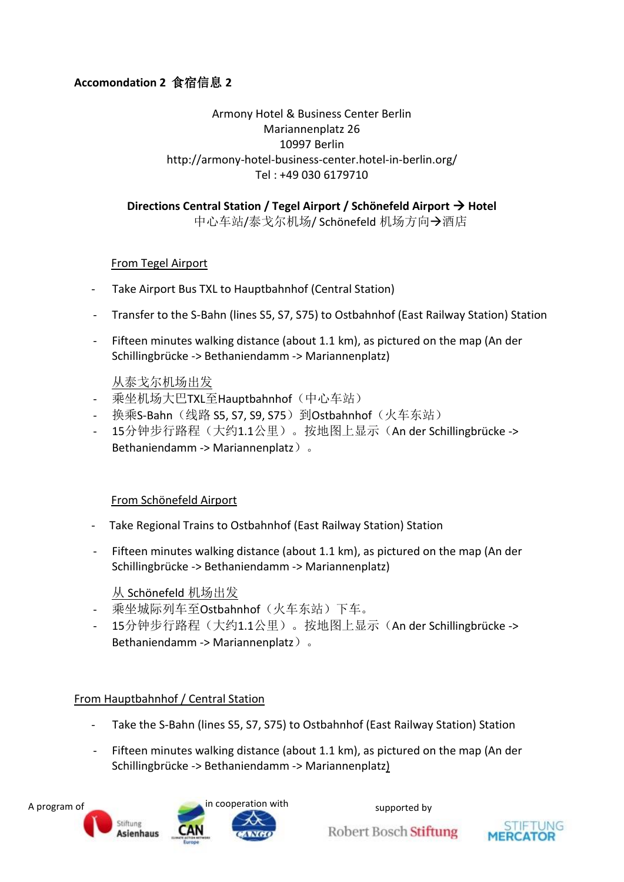# **Accomondation 2** 食宿信息 **2**

#### Armony Hotel & Business Center Berlin Mariannenplatz 26 10997 Berlin http://armony-hotel-business-center.hotel-in-berlin.org/ Tel : +49 030 6179710

# **Directions Central Station / Tegel Airport / Schönefeld Airport → Hotel**

中心车站/泰戈尔机场/ Schönefeld 机场方向→酒店

#### From Tegel Airport

- Take Airport Bus TXL to Hauptbahnhof (Central Station)
- Transfer to the S-Bahn (lines S5, S7, S75) to Ostbahnhof (East Railway Station) Station
- Fifteen minutes walking distance (about 1.1 km), as pictured on the map (An der Schillingbrücke -> Bethaniendamm -> Mariannenplatz)

#### 从泰戈尔机场出发

- 乘坐机场大巴TXL至Hauptbahnhof (中心车站)
- 换乘S-Bahn (线路 S5, S7, S9, S75)到Ostbahnhof (火车东站)
- 15分钟步行路程(大约1.1公里)。按地图上显示(An der Schillingbrücke -> Bethaniendamm -> Mariannenplatz)。

#### From Schönefeld Airport

- Take Regional Trains to Ostbahnhof (East Railway Station) Station
- Fifteen minutes walking distance (about 1.1 km), as pictured on the map (An der Schillingbrücke -> Bethaniendamm -> Mariannenplatz)

#### 从 Schönefeld 机场出发

- 乘坐城际列车至Ostbahnhof(火车东站)下车。
- 15分钟步行路程(大约1.1公里)。按地图上显示(An der Schillingbrücke -> Bethaniendamm -> Mariannenplatz)。

#### From Hauptbahnhof / Central Station

- Take the S-Bahn (lines S5, S7, S75) to Ostbahnhof (East Railway Station) Station
- Fifteen minutes walking distance (about 1.1 km), as pictured on the map (An der Schillingbrücke -> Bethaniendamm -> Mariannenplatz)

![](_page_32_Picture_21.jpeg)

![](_page_32_Picture_24.jpeg)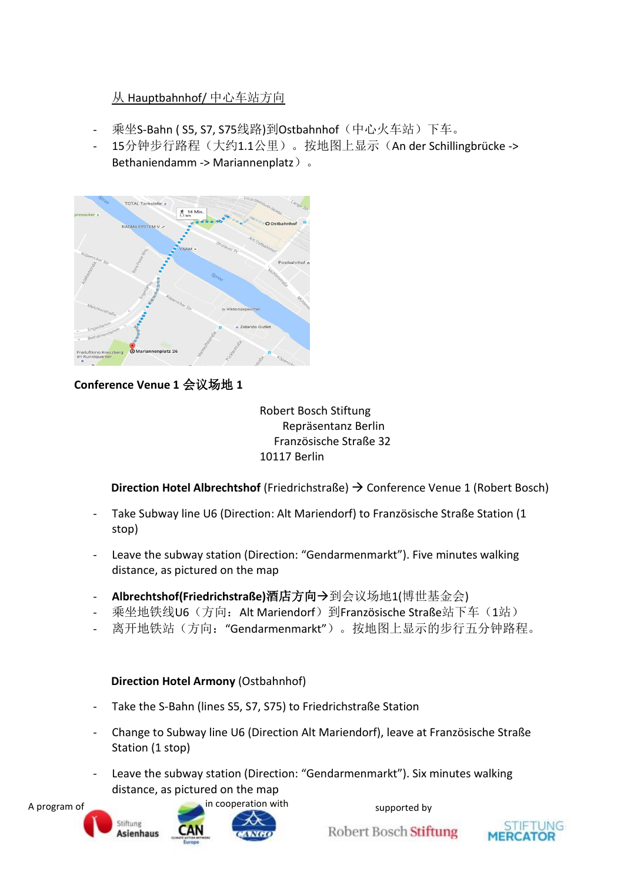# 从 Hauptbahnhof/ 中心车站方向

- 乘坐S-Bahn ( S5, S7, S75线路)到Ostbahnhof(中心火车站)下车。
- 15分钟步行路程(大约1.1公里)。按地图上显示(An der Schillingbrücke -> Bethaniendamm -> Mariannenplatz)。

![](_page_33_Figure_3.jpeg)

**Conference Venue 1** 会议场地 **1**

Robert Bosch Stiftung Repräsentanz Berlin Französische Straße 32 10117 Berlin

**Direction Hotel Albrechtshof** (Friedrichstraße) → Conference Venue 1 (Robert Bosch)

- Take Subway line U6 (Direction: Alt Mariendorf) to Französische Straße Station (1 stop)
- Leave the subway station (Direction: "Gendarmenmarkt"). Five minutes walking distance, as pictured on the map
- **Albrechtshof(Friedrichstraße)酒店方向→**到会议场地1(博世基金会)
- 乘坐地铁线U6(方向: Alt Mariendorf)到Französische Straße站下车(1站)
- 离开地铁站(方向: "Gendarmenmarkt")。按地图上显示的步行五分钟路程。

#### **Direction Hotel Armony** (Ostbahnhof)

- Take the S-Bahn (lines S5, S7, S75) to Friedrichstraße Station
- Change to Subway line U6 (Direction Alt Mariendorf), leave at Französische Straße Station (1 stop)
- Leave the subway station (Direction: "Gendarmenmarkt"). Six minutes walking distance, as pictured on the map

![](_page_33_Picture_16.jpeg)

![](_page_33_Picture_19.jpeg)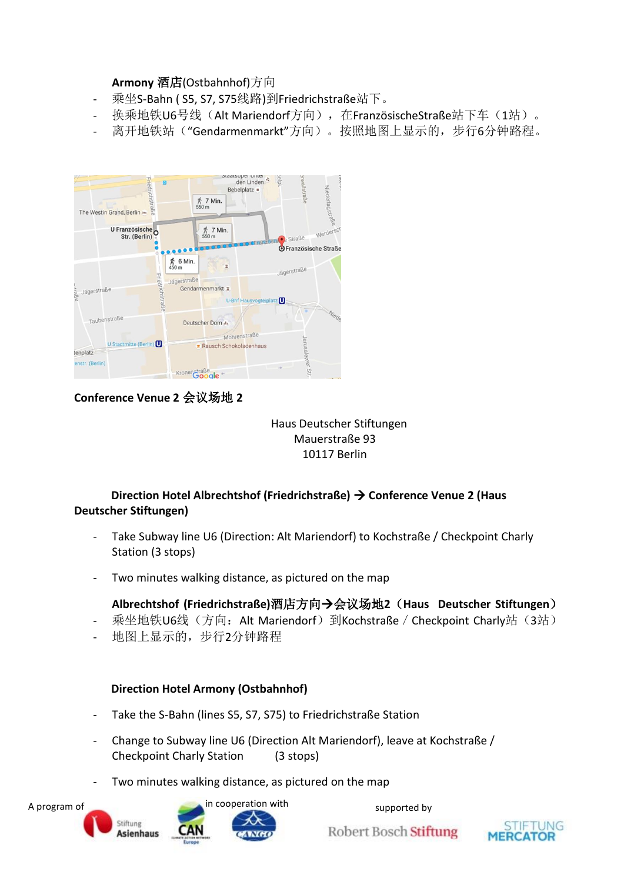#### **Armony** 酒店(Ostbahnhof)方向

- 乘坐S-Bahn (S5, S7, S75线路)到Friedrichstraße站下。
	- 换乘地铁U6号线(Alt Mariendorf方向),在FranzösischeStraße站下车(1站)。
- 离开地铁站("Gendarmenmarkt"方向)。按照地图上显示的,步行6分钟路程。

![](_page_34_Figure_4.jpeg)

# **Conference Venue 2** 会议场地 **2**

![](_page_34_Figure_6.jpeg)

#### **Direction Hotel Albrechtshof (Friedrichstraße) → Conference Venue 2 (Haus Deutscher Stiftungen)**

- Take Subway line U6 (Direction: Alt Mariendorf) to Kochstraße / Checkpoint Charly Station (3 stops)
- Two minutes walking distance, as pictured on the map

#### **Albrechtshof (Friedrichstraße)**酒店方向会议场地**2**(**Haus Deutscher Stiftungen**)

- 乘坐地铁U6线(方向: Alt Mariendorf)到Kochstraße / Checkpoint Charly站(3站)
- 地图上显示的,步行2分钟路程

#### **Direction Hotel Armony (Ostbahnhof)**

- Take the S-Bahn (lines S5, S7, S75) to Friedrichstraße Station
- Change to Subway line U6 (Direction Alt Mariendorf), leave at Kochstraße / Checkpoint Charly Station (3 stops)
- Two minutes walking distance, as pictured on the map

![](_page_34_Picture_17.jpeg)

![](_page_34_Picture_20.jpeg)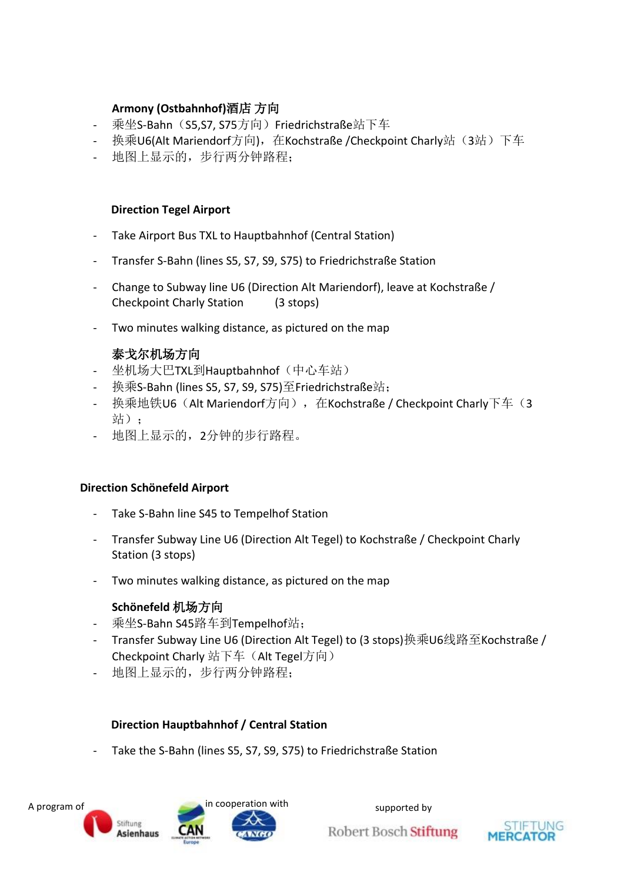### **Armony (Ostbahnhof)**酒店 方向

- 乘坐S-Bahn (S5,S7, S75方向) Friedrichstraße站下车
- 换乘U6(Alt Mariendorf方向), 在Kochstraße /Checkpoint Charly站(3站)下车
- 地图上显示的,步行两分钟路程;

#### **Direction Tegel Airport**

- Take Airport Bus TXL to Hauptbahnhof (Central Station)
- Transfer S-Bahn (lines S5, S7, S9, S75) to Friedrichstraße Station
- Change to Subway line U6 (Direction Alt Mariendorf), leave at Kochstraße / Checkpoint Charly Station (3 stops)
- Two minutes walking distance, as pictured on the map

# 泰戈尔机场方向

- 坐机场大巴TXL到Hauptbahnhof (中心车站)
- 换乘S-Bahn (lines S5, S7, S9, S75)至Friedrichstraße站;
- 换乘地铁U6 (Alt Mariendorf方向), 在Kochstraße / Checkpoint Charly下车(3 站):
- 地图上显示的,2分钟的步行路程。

#### **Direction Schönefeld Airport**

- Take S-Bahn line S45 to Tempelhof Station
- Transfer Subway Line U6 (Direction Alt Tegel) to Kochstraße / Checkpoint Charly Station (3 stops)
- Two minutes walking distance, as pictured on the map

#### **Schönefeld** 机场方向

- 乘坐S-Bahn S45路车到Tempelhof站;
- Transfer Subway Line U6 (Direction Alt Tegel) to (3 stops)换乘U6线路至Kochstraße / Checkpoint Charly 站下车(Alt Tegel方向)
- 地图上显示的,步行两分钟路程;

#### **Direction Hauptbahnhof / Central Station**

Take the S-Bahn (lines S5, S7, S9, S75) to Friedrichstraße Station

![](_page_35_Picture_24.jpeg)

![](_page_35_Picture_27.jpeg)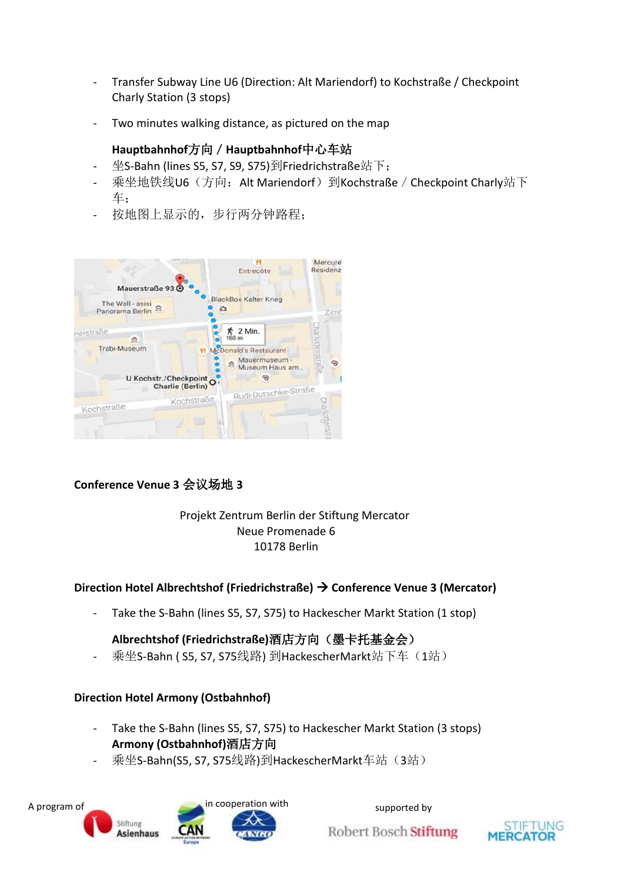- Transfer Subway Line U6 (Direction: Alt Mariendorf) to Kochstraße / Checkpoint Charly Station (3 stops)
- Two minutes walking distance, as pictured on the map

### **Hauptbahnhof**方向/**Hauptbahnhof**中心车站

- 坐S-Bahn (lines S5, S7, S9, S75)到Friedrichstraße站下;
- 乘坐地铁线U6(方向: Alt Mariendorf)到Kochstraße / Checkpoint Charly站下 车;
- 按地图上显示的,步行两分钟路程;

![](_page_36_Picture_6.jpeg)

# **Conference Venue 3** 会议场地 **3**

#### Projekt Zentrum Berlin der Stiftung Mercator Neue Promenade 6 10178 Berlin

# **Direction Hotel Albrechtshof (Friedrichstraße) Conference Venue 3 (Mercator)**

- Take the S-Bahn (lines S5, S7, S75) to Hackescher Markt Station (1 stop)

# **Albrechtshof (Friedrichstraße)**酒店方向(墨卡托基金会)

乘坐S-Bahn ( S5, S7, S75线路) 到HackescherMarkt站下车(1站)

#### **Direction Hotel Armony (Ostbahnhof)**

- Take the S-Bahn (lines S5, S7, S75) to Hackescher Markt Station (3 stops) **Armony (Ostbahnhof)**酒店方向
- 乘坐S-Bahn(S5, S7, S75线路)到HackescherMarkt车站(3站)

![](_page_36_Picture_16.jpeg)

![](_page_36_Picture_19.jpeg)